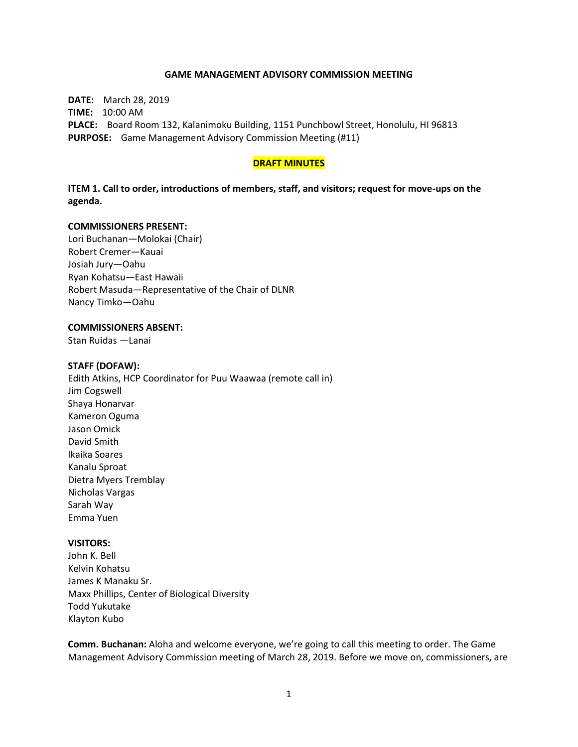#### **GAME MANAGEMENT ADVISORY COMMISSION MEETING**

**DATE:** March 28, 2019 **TIME:** 10:00 AM **PLACE:** Board Room 132, Kalanimoku Building, 1151 Punchbowl Street, Honolulu, HI 96813 **PURPOSE:** Game Management Advisory Commission Meeting (#11)

#### **DRAFT MINUTES**

**ITEM 1. Call to order, introductions of members, staff, and visitors; request for move-ups on the agenda.**

#### **COMMISSIONERS PRESENT:**

Lori Buchanan—Molokai (Chair) Robert Cremer—Kauai Josiah Jury—Oahu Ryan Kohatsu—East Hawaii Robert Masuda—Representative of the Chair of DLNR Nancy Timko—Oahu

### **COMMISSIONERS ABSENT:**

Stan Ruidas —Lanai

#### **STAFF (DOFAW):**

Edith Atkins, HCP Coordinator for Puu Waawaa (remote call in) Jim Cogswell Shaya Honarvar Kameron Oguma Jason Omick David Smith Ikaika Soares Kanalu Sproat Dietra Myers Tremblay Nicholas Vargas Sarah Way Emma Yuen

#### **VISITORS:**

John K. Bell Kelvin Kohatsu James K Manaku Sr. Maxx Phillips, Center of Biological Diversity Todd Yukutake Klayton Kubo

**Comm. Buchanan:** Aloha and welcome everyone, we're going to call this meeting to order. The Game Management Advisory Commission meeting of March 28, 2019. Before we move on, commissioners, are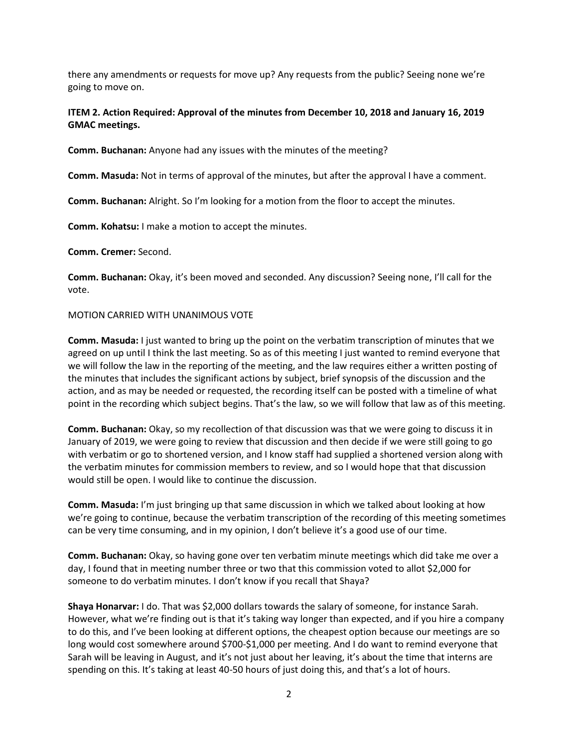there any amendments or requests for move up? Any requests from the public? Seeing none we're going to move on.

## **ITEM 2. Action Required: Approval of the minutes from December 10, 2018 and January 16, 2019 GMAC meetings.**

**Comm. Buchanan:** Anyone had any issues with the minutes of the meeting?

**Comm. Masuda:** Not in terms of approval of the minutes, but after the approval I have a comment.

**Comm. Buchanan:** Alright. So I'm looking for a motion from the floor to accept the minutes.

**Comm. Kohatsu:** I make a motion to accept the minutes.

**Comm. Cremer:** Second.

**Comm. Buchanan:** Okay, it's been moved and seconded. Any discussion? Seeing none, I'll call for the vote.

### MOTION CARRIED WITH UNANIMOUS VOTE

**Comm. Masuda:** I just wanted to bring up the point on the verbatim transcription of minutes that we agreed on up until I think the last meeting. So as of this meeting I just wanted to remind everyone that we will follow the law in the reporting of the meeting, and the law requires either a written posting of the minutes that includes the significant actions by subject, brief synopsis of the discussion and the action, and as may be needed or requested, the recording itself can be posted with a timeline of what point in the recording which subject begins. That's the law, so we will follow that law as of this meeting.

**Comm. Buchanan:** Okay, so my recollection of that discussion was that we were going to discuss it in January of 2019, we were going to review that discussion and then decide if we were still going to go with verbatim or go to shortened version, and I know staff had supplied a shortened version along with the verbatim minutes for commission members to review, and so I would hope that that discussion would still be open. I would like to continue the discussion.

**Comm. Masuda:** I'm just bringing up that same discussion in which we talked about looking at how we're going to continue, because the verbatim transcription of the recording of this meeting sometimes can be very time consuming, and in my opinion, I don't believe it's a good use of our time.

**Comm. Buchanan:** Okay, so having gone over ten verbatim minute meetings which did take me over a day, I found that in meeting number three or two that this commission voted to allot \$2,000 for someone to do verbatim minutes. I don't know if you recall that Shaya?

**Shaya Honarvar:** I do. That was \$2,000 dollars towards the salary of someone, for instance Sarah. However, what we're finding out is that it's taking way longer than expected, and if you hire a company to do this, and I've been looking at different options, the cheapest option because our meetings are so long would cost somewhere around \$700-\$1,000 per meeting. And I do want to remind everyone that Sarah will be leaving in August, and it's not just about her leaving, it's about the time that interns are spending on this. It's taking at least 40-50 hours of just doing this, and that's a lot of hours.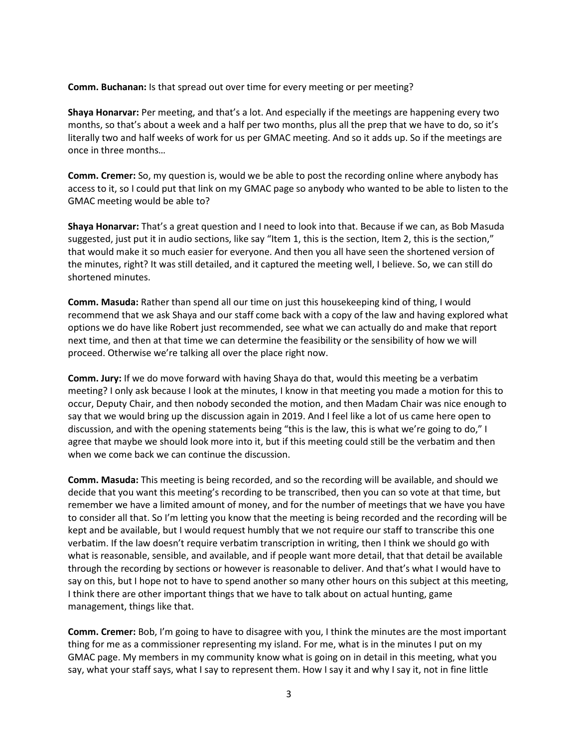**Comm. Buchanan:** Is that spread out over time for every meeting or per meeting?

**Shaya Honarvar:** Per meeting, and that's a lot. And especially if the meetings are happening every two months, so that's about a week and a half per two months, plus all the prep that we have to do, so it's literally two and half weeks of work for us per GMAC meeting. And so it adds up. So if the meetings are once in three months…

**Comm. Cremer:** So, my question is, would we be able to post the recording online where anybody has access to it, so I could put that link on my GMAC page so anybody who wanted to be able to listen to the GMAC meeting would be able to?

**Shaya Honarvar:** That's a great question and I need to look into that. Because if we can, as Bob Masuda suggested, just put it in audio sections, like say "Item 1, this is the section, Item 2, this is the section," that would make it so much easier for everyone. And then you all have seen the shortened version of the minutes, right? It was still detailed, and it captured the meeting well, I believe. So, we can still do shortened minutes.

**Comm. Masuda:** Rather than spend all our time on just this housekeeping kind of thing, I would recommend that we ask Shaya and our staff come back with a copy of the law and having explored what options we do have like Robert just recommended, see what we can actually do and make that report next time, and then at that time we can determine the feasibility or the sensibility of how we will proceed. Otherwise we're talking all over the place right now.

**Comm. Jury:** If we do move forward with having Shaya do that, would this meeting be a verbatim meeting? I only ask because I look at the minutes, I know in that meeting you made a motion for this to occur, Deputy Chair, and then nobody seconded the motion, and then Madam Chair was nice enough to say that we would bring up the discussion again in 2019. And I feel like a lot of us came here open to discussion, and with the opening statements being "this is the law, this is what we're going to do," I agree that maybe we should look more into it, but if this meeting could still be the verbatim and then when we come back we can continue the discussion.

**Comm. Masuda:** This meeting is being recorded, and so the recording will be available, and should we decide that you want this meeting's recording to be transcribed, then you can so vote at that time, but remember we have a limited amount of money, and for the number of meetings that we have you have to consider all that. So I'm letting you know that the meeting is being recorded and the recording will be kept and be available, but I would request humbly that we not require our staff to transcribe this one verbatim. If the law doesn't require verbatim transcription in writing, then I think we should go with what is reasonable, sensible, and available, and if people want more detail, that that detail be available through the recording by sections or however is reasonable to deliver. And that's what I would have to say on this, but I hope not to have to spend another so many other hours on this subject at this meeting, I think there are other important things that we have to talk about on actual hunting, game management, things like that.

**Comm. Cremer:** Bob, I'm going to have to disagree with you, I think the minutes are the most important thing for me as a commissioner representing my island. For me, what is in the minutes I put on my GMAC page. My members in my community know what is going on in detail in this meeting, what you say, what your staff says, what I say to represent them. How I say it and why I say it, not in fine little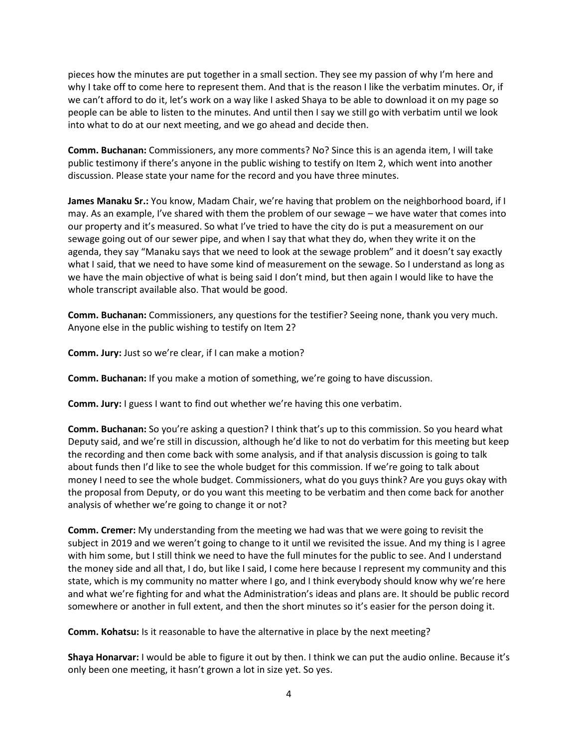pieces how the minutes are put together in a small section. They see my passion of why I'm here and why I take off to come here to represent them. And that is the reason I like the verbatim minutes. Or, if we can't afford to do it, let's work on a way like I asked Shaya to be able to download it on my page so people can be able to listen to the minutes. And until then I say we still go with verbatim until we look into what to do at our next meeting, and we go ahead and decide then.

**Comm. Buchanan:** Commissioners, any more comments? No? Since this is an agenda item, I will take public testimony if there's anyone in the public wishing to testify on Item 2, which went into another discussion. Please state your name for the record and you have three minutes.

**James Manaku Sr.:** You know, Madam Chair, we're having that problem on the neighborhood board, if I may. As an example, I've shared with them the problem of our sewage – we have water that comes into our property and it's measured. So what I've tried to have the city do is put a measurement on our sewage going out of our sewer pipe, and when I say that what they do, when they write it on the agenda, they say "Manaku says that we need to look at the sewage problem" and it doesn't say exactly what I said, that we need to have some kind of measurement on the sewage. So I understand as long as we have the main objective of what is being said I don't mind, but then again I would like to have the whole transcript available also. That would be good.

**Comm. Buchanan:** Commissioners, any questions for the testifier? Seeing none, thank you very much. Anyone else in the public wishing to testify on Item 2?

**Comm. Jury:** Just so we're clear, if I can make a motion?

**Comm. Buchanan:** If you make a motion of something, we're going to have discussion.

**Comm. Jury:** I guess I want to find out whether we're having this one verbatim.

**Comm. Buchanan:** So you're asking a question? I think that's up to this commission. So you heard what Deputy said, and we're still in discussion, although he'd like to not do verbatim for this meeting but keep the recording and then come back with some analysis, and if that analysis discussion is going to talk about funds then I'd like to see the whole budget for this commission. If we're going to talk about money I need to see the whole budget. Commissioners, what do you guys think? Are you guys okay with the proposal from Deputy, or do you want this meeting to be verbatim and then come back for another analysis of whether we're going to change it or not?

**Comm. Cremer:** My understanding from the meeting we had was that we were going to revisit the subject in 2019 and we weren't going to change to it until we revisited the issue. And my thing is I agree with him some, but I still think we need to have the full minutes for the public to see. And I understand the money side and all that, I do, but like I said, I come here because I represent my community and this state, which is my community no matter where I go, and I think everybody should know why we're here and what we're fighting for and what the Administration's ideas and plans are. It should be public record somewhere or another in full extent, and then the short minutes so it's easier for the person doing it.

**Comm. Kohatsu:** Is it reasonable to have the alternative in place by the next meeting?

**Shaya Honarvar:** I would be able to figure it out by then. I think we can put the audio online. Because it's only been one meeting, it hasn't grown a lot in size yet. So yes.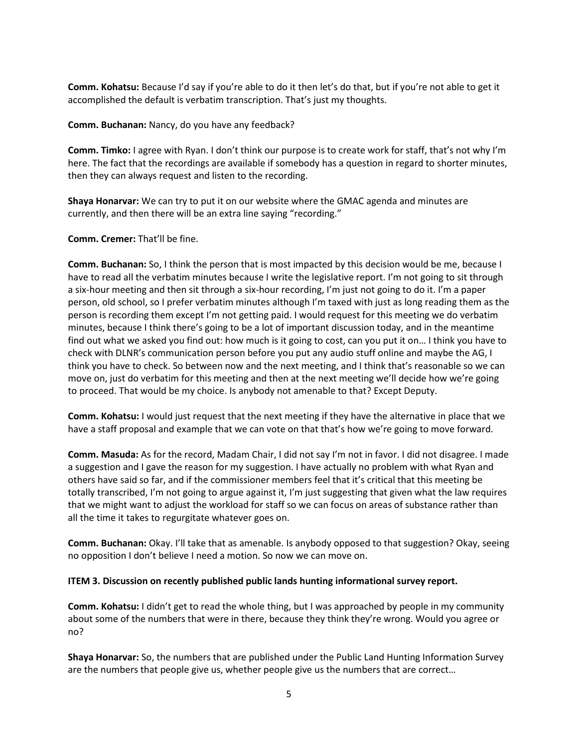**Comm. Kohatsu:** Because I'd say if you're able to do it then let's do that, but if you're not able to get it accomplished the default is verbatim transcription. That's just my thoughts.

**Comm. Buchanan:** Nancy, do you have any feedback?

**Comm. Timko:** I agree with Ryan. I don't think our purpose is to create work for staff, that's not why I'm here. The fact that the recordings are available if somebody has a question in regard to shorter minutes, then they can always request and listen to the recording.

**Shaya Honarvar:** We can try to put it on our website where the GMAC agenda and minutes are currently, and then there will be an extra line saying "recording."

**Comm. Cremer:** That'll be fine.

**Comm. Buchanan:** So, I think the person that is most impacted by this decision would be me, because I have to read all the verbatim minutes because I write the legislative report. I'm not going to sit through a six-hour meeting and then sit through a six-hour recording, I'm just not going to do it. I'm a paper person, old school, so I prefer verbatim minutes although I'm taxed with just as long reading them as the person is recording them except I'm not getting paid. I would request for this meeting we do verbatim minutes, because I think there's going to be a lot of important discussion today, and in the meantime find out what we asked you find out: how much is it going to cost, can you put it on… I think you have to check with DLNR's communication person before you put any audio stuff online and maybe the AG, I think you have to check. So between now and the next meeting, and I think that's reasonable so we can move on, just do verbatim for this meeting and then at the next meeting we'll decide how we're going to proceed. That would be my choice. Is anybody not amenable to that? Except Deputy.

**Comm. Kohatsu:** I would just request that the next meeting if they have the alternative in place that we have a staff proposal and example that we can vote on that that's how we're going to move forward.

**Comm. Masuda:** As for the record, Madam Chair, I did not say I'm not in favor. I did not disagree. I made a suggestion and I gave the reason for my suggestion. I have actually no problem with what Ryan and others have said so far, and if the commissioner members feel that it's critical that this meeting be totally transcribed, I'm not going to argue against it, I'm just suggesting that given what the law requires that we might want to adjust the workload for staff so we can focus on areas of substance rather than all the time it takes to regurgitate whatever goes on.

**Comm. Buchanan:** Okay. I'll take that as amenable. Is anybody opposed to that suggestion? Okay, seeing no opposition I don't believe I need a motion. So now we can move on.

## **ITEM 3. Discussion on recently published public lands hunting informational survey report.**

**Comm. Kohatsu:** I didn't get to read the whole thing, but I was approached by people in my community about some of the numbers that were in there, because they think they're wrong. Would you agree or no?

**Shaya Honarvar:** So, the numbers that are published under the Public Land Hunting Information Survey are the numbers that people give us, whether people give us the numbers that are correct…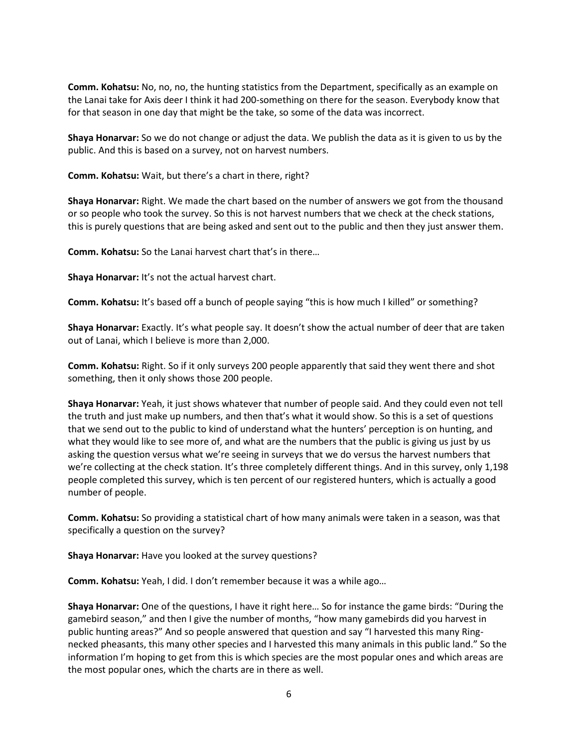**Comm. Kohatsu:** No, no, no, the hunting statistics from the Department, specifically as an example on the Lanai take for Axis deer I think it had 200-something on there for the season. Everybody know that for that season in one day that might be the take, so some of the data was incorrect.

**Shaya Honarvar:** So we do not change or adjust the data. We publish the data as it is given to us by the public. And this is based on a survey, not on harvest numbers.

**Comm. Kohatsu:** Wait, but there's a chart in there, right?

**Shaya Honarvar:** Right. We made the chart based on the number of answers we got from the thousand or so people who took the survey. So this is not harvest numbers that we check at the check stations, this is purely questions that are being asked and sent out to the public and then they just answer them.

**Comm. Kohatsu:** So the Lanai harvest chart that's in there…

**Shaya Honarvar:** It's not the actual harvest chart.

**Comm. Kohatsu:** It's based off a bunch of people saying "this is how much I killed" or something?

**Shaya Honarvar:** Exactly. It's what people say. It doesn't show the actual number of deer that are taken out of Lanai, which I believe is more than 2,000.

**Comm. Kohatsu:** Right. So if it only surveys 200 people apparently that said they went there and shot something, then it only shows those 200 people.

**Shaya Honarvar:** Yeah, it just shows whatever that number of people said. And they could even not tell the truth and just make up numbers, and then that's what it would show. So this is a set of questions that we send out to the public to kind of understand what the hunters' perception is on hunting, and what they would like to see more of, and what are the numbers that the public is giving us just by us asking the question versus what we're seeing in surveys that we do versus the harvest numbers that we're collecting at the check station. It's three completely different things. And in this survey, only 1,198 people completed this survey, which is ten percent of our registered hunters, which is actually a good number of people.

**Comm. Kohatsu:** So providing a statistical chart of how many animals were taken in a season, was that specifically a question on the survey?

**Shaya Honarvar:** Have you looked at the survey questions?

**Comm. Kohatsu:** Yeah, I did. I don't remember because it was a while ago…

**Shaya Honarvar:** One of the questions, I have it right here… So for instance the game birds: "During the gamebird season," and then I give the number of months, "how many gamebirds did you harvest in public hunting areas?" And so people answered that question and say "I harvested this many Ringnecked pheasants, this many other species and I harvested this many animals in this public land." So the information I'm hoping to get from this is which species are the most popular ones and which areas are the most popular ones, which the charts are in there as well.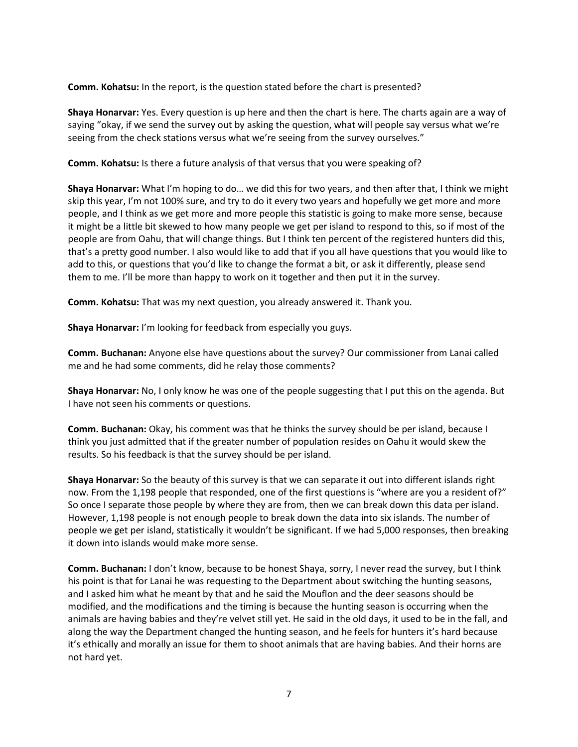**Comm. Kohatsu:** In the report, is the question stated before the chart is presented?

**Shaya Honarvar:** Yes. Every question is up here and then the chart is here. The charts again are a way of saying "okay, if we send the survey out by asking the question, what will people say versus what we're seeing from the check stations versus what we're seeing from the survey ourselves."

**Comm. Kohatsu:** Is there a future analysis of that versus that you were speaking of?

**Shaya Honarvar:** What I'm hoping to do… we did this for two years, and then after that, I think we might skip this year, I'm not 100% sure, and try to do it every two years and hopefully we get more and more people, and I think as we get more and more people this statistic is going to make more sense, because it might be a little bit skewed to how many people we get per island to respond to this, so if most of the people are from Oahu, that will change things. But I think ten percent of the registered hunters did this, that's a pretty good number. I also would like to add that if you all have questions that you would like to add to this, or questions that you'd like to change the format a bit, or ask it differently, please send them to me. I'll be more than happy to work on it together and then put it in the survey.

**Comm. Kohatsu:** That was my next question, you already answered it. Thank you.

**Shaya Honarvar:** I'm looking for feedback from especially you guys.

**Comm. Buchanan:** Anyone else have questions about the survey? Our commissioner from Lanai called me and he had some comments, did he relay those comments?

**Shaya Honarvar:** No, I only know he was one of the people suggesting that I put this on the agenda. But I have not seen his comments or questions.

**Comm. Buchanan:** Okay, his comment was that he thinks the survey should be per island, because I think you just admitted that if the greater number of population resides on Oahu it would skew the results. So his feedback is that the survey should be per island.

**Shaya Honarvar:** So the beauty of this survey is that we can separate it out into different islands right now. From the 1,198 people that responded, one of the first questions is "where are you a resident of?" So once I separate those people by where they are from, then we can break down this data per island. However, 1,198 people is not enough people to break down the data into six islands. The number of people we get per island, statistically it wouldn't be significant. If we had 5,000 responses, then breaking it down into islands would make more sense.

**Comm. Buchanan:** I don't know, because to be honest Shaya, sorry, I never read the survey, but I think his point is that for Lanai he was requesting to the Department about switching the hunting seasons, and I asked him what he meant by that and he said the Mouflon and the deer seasons should be modified, and the modifications and the timing is because the hunting season is occurring when the animals are having babies and they're velvet still yet. He said in the old days, it used to be in the fall, and along the way the Department changed the hunting season, and he feels for hunters it's hard because it's ethically and morally an issue for them to shoot animals that are having babies. And their horns are not hard yet.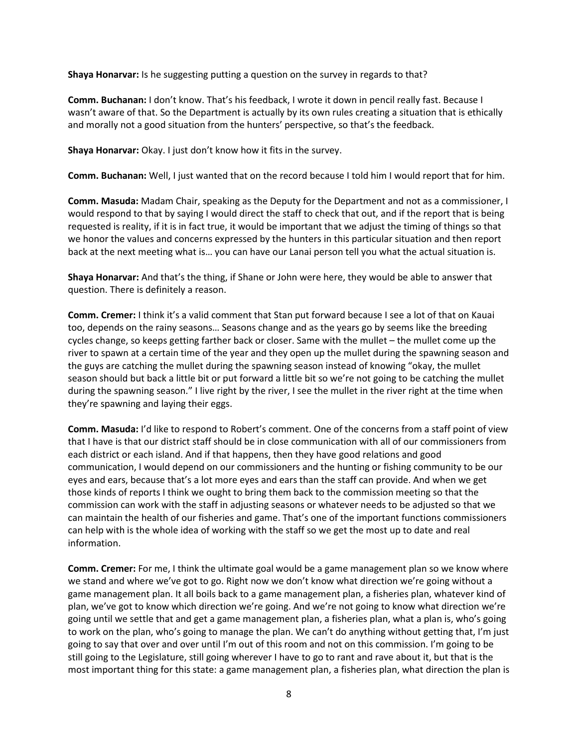**Shaya Honarvar:** Is he suggesting putting a question on the survey in regards to that?

**Comm. Buchanan:** I don't know. That's his feedback, I wrote it down in pencil really fast. Because I wasn't aware of that. So the Department is actually by its own rules creating a situation that is ethically and morally not a good situation from the hunters' perspective, so that's the feedback.

**Shaya Honarvar:** Okay. I just don't know how it fits in the survey.

**Comm. Buchanan:** Well, I just wanted that on the record because I told him I would report that for him.

**Comm. Masuda:** Madam Chair, speaking as the Deputy for the Department and not as a commissioner, I would respond to that by saying I would direct the staff to check that out, and if the report that is being requested is reality, if it is in fact true, it would be important that we adjust the timing of things so that we honor the values and concerns expressed by the hunters in this particular situation and then report back at the next meeting what is… you can have our Lanai person tell you what the actual situation is.

**Shaya Honarvar:** And that's the thing, if Shane or John were here, they would be able to answer that question. There is definitely a reason.

**Comm. Cremer:** I think it's a valid comment that Stan put forward because I see a lot of that on Kauai too, depends on the rainy seasons… Seasons change and as the years go by seems like the breeding cycles change, so keeps getting farther back or closer. Same with the mullet – the mullet come up the river to spawn at a certain time of the year and they open up the mullet during the spawning season and the guys are catching the mullet during the spawning season instead of knowing "okay, the mullet season should but back a little bit or put forward a little bit so we're not going to be catching the mullet during the spawning season." I live right by the river, I see the mullet in the river right at the time when they're spawning and laying their eggs.

**Comm. Masuda:** I'd like to respond to Robert's comment. One of the concerns from a staff point of view that I have is that our district staff should be in close communication with all of our commissioners from each district or each island. And if that happens, then they have good relations and good communication, I would depend on our commissioners and the hunting or fishing community to be our eyes and ears, because that's a lot more eyes and ears than the staff can provide. And when we get those kinds of reports I think we ought to bring them back to the commission meeting so that the commission can work with the staff in adjusting seasons or whatever needs to be adjusted so that we can maintain the health of our fisheries and game. That's one of the important functions commissioners can help with is the whole idea of working with the staff so we get the most up to date and real information.

**Comm. Cremer:** For me, I think the ultimate goal would be a game management plan so we know where we stand and where we've got to go. Right now we don't know what direction we're going without a game management plan. It all boils back to a game management plan, a fisheries plan, whatever kind of plan, we've got to know which direction we're going. And we're not going to know what direction we're going until we settle that and get a game management plan, a fisheries plan, what a plan is, who's going to work on the plan, who's going to manage the plan. We can't do anything without getting that, I'm just going to say that over and over until I'm out of this room and not on this commission. I'm going to be still going to the Legislature, still going wherever I have to go to rant and rave about it, but that is the most important thing for this state: a game management plan, a fisheries plan, what direction the plan is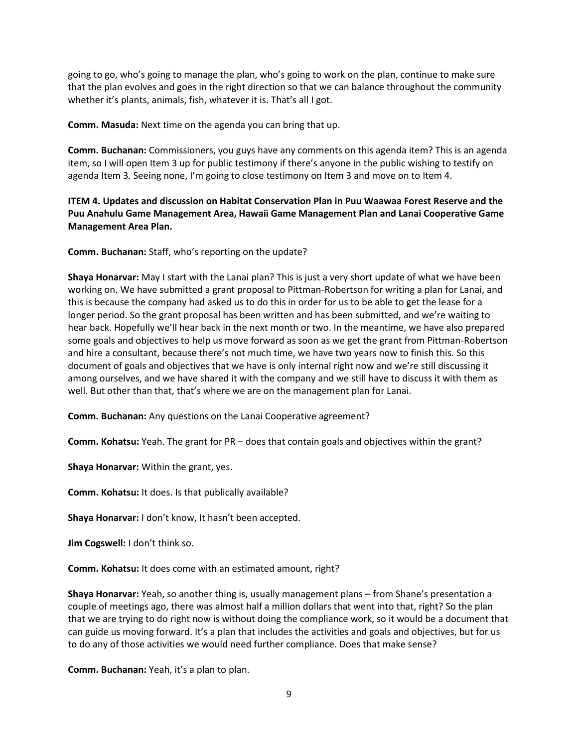going to go, who's going to manage the plan, who's going to work on the plan, continue to make sure that the plan evolves and goes in the right direction so that we can balance throughout the community whether it's plants, animals, fish, whatever it is. That's all I got.

**Comm. Masuda:** Next time on the agenda you can bring that up.

**Comm. Buchanan:** Commissioners, you guys have any comments on this agenda item? This is an agenda item, so I will open Item 3 up for public testimony if there's anyone in the public wishing to testify on agenda Item 3. Seeing none, I'm going to close testimony on Item 3 and move on to Item 4.

**ITEM 4. Updates and discussion on Habitat Conservation Plan in Puu Waawaa Forest Reserve and the Puu Anahulu Game Management Area, Hawaii Game Management Plan and Lanai Cooperative Game Management Area Plan.**

**Comm. Buchanan:** Staff, who's reporting on the update?

**Shaya Honarvar:** May I start with the Lanai plan? This is just a very short update of what we have been working on. We have submitted a grant proposal to Pittman-Robertson for writing a plan for Lanai, and this is because the company had asked us to do this in order for us to be able to get the lease for a longer period. So the grant proposal has been written and has been submitted, and we're waiting to hear back. Hopefully we'll hear back in the next month or two. In the meantime, we have also prepared some goals and objectives to help us move forward as soon as we get the grant from Pittman-Robertson and hire a consultant, because there's not much time, we have two years now to finish this. So this document of goals and objectives that we have is only internal right now and we're still discussing it among ourselves, and we have shared it with the company and we still have to discuss it with them as well. But other than that, that's where we are on the management plan for Lanai.

**Comm. Buchanan:** Any questions on the Lanai Cooperative agreement?

**Comm. Kohatsu:** Yeah. The grant for PR – does that contain goals and objectives within the grant?

**Shaya Honarvar:** Within the grant, yes.

**Comm. Kohatsu:** It does. Is that publically available?

**Shaya Honarvar:** I don't know, It hasn't been accepted.

**Jim Cogswell:** I don't think so.

**Comm. Kohatsu:** It does come with an estimated amount, right?

**Shaya Honarvar:** Yeah, so another thing is, usually management plans – from Shane's presentation a couple of meetings ago, there was almost half a million dollars that went into that, right? So the plan that we are trying to do right now is without doing the compliance work, so it would be a document that can guide us moving forward. It's a plan that includes the activities and goals and objectives, but for us to do any of those activities we would need further compliance. Does that make sense?

**Comm. Buchanan:** Yeah, it's a plan to plan.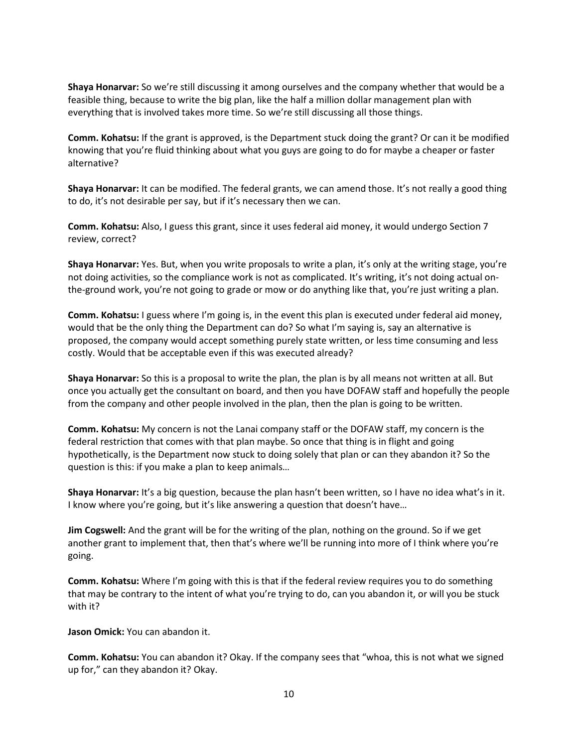**Shaya Honarvar:** So we're still discussing it among ourselves and the company whether that would be a feasible thing, because to write the big plan, like the half a million dollar management plan with everything that is involved takes more time. So we're still discussing all those things.

**Comm. Kohatsu:** If the grant is approved, is the Department stuck doing the grant? Or can it be modified knowing that you're fluid thinking about what you guys are going to do for maybe a cheaper or faster alternative?

**Shaya Honarvar:** It can be modified. The federal grants, we can amend those. It's not really a good thing to do, it's not desirable per say, but if it's necessary then we can.

**Comm. Kohatsu:** Also, I guess this grant, since it uses federal aid money, it would undergo Section 7 review, correct?

**Shaya Honarvar:** Yes. But, when you write proposals to write a plan, it's only at the writing stage, you're not doing activities, so the compliance work is not as complicated. It's writing, it's not doing actual onthe-ground work, you're not going to grade or mow or do anything like that, you're just writing a plan.

**Comm. Kohatsu:** I guess where I'm going is, in the event this plan is executed under federal aid money, would that be the only thing the Department can do? So what I'm saying is, say an alternative is proposed, the company would accept something purely state written, or less time consuming and less costly. Would that be acceptable even if this was executed already?

**Shaya Honarvar:** So this is a proposal to write the plan, the plan is by all means not written at all. But once you actually get the consultant on board, and then you have DOFAW staff and hopefully the people from the company and other people involved in the plan, then the plan is going to be written.

**Comm. Kohatsu:** My concern is not the Lanai company staff or the DOFAW staff, my concern is the federal restriction that comes with that plan maybe. So once that thing is in flight and going hypothetically, is the Department now stuck to doing solely that plan or can they abandon it? So the question is this: if you make a plan to keep animals…

**Shaya Honarvar:** It's a big question, because the plan hasn't been written, so I have no idea what's in it. I know where you're going, but it's like answering a question that doesn't have…

**Jim Cogswell:** And the grant will be for the writing of the plan, nothing on the ground. So if we get another grant to implement that, then that's where we'll be running into more of I think where you're going.

**Comm. Kohatsu:** Where I'm going with this is that if the federal review requires you to do something that may be contrary to the intent of what you're trying to do, can you abandon it, or will you be stuck with it?

**Jason Omick:** You can abandon it.

**Comm. Kohatsu:** You can abandon it? Okay. If the company sees that "whoa, this is not what we signed up for," can they abandon it? Okay.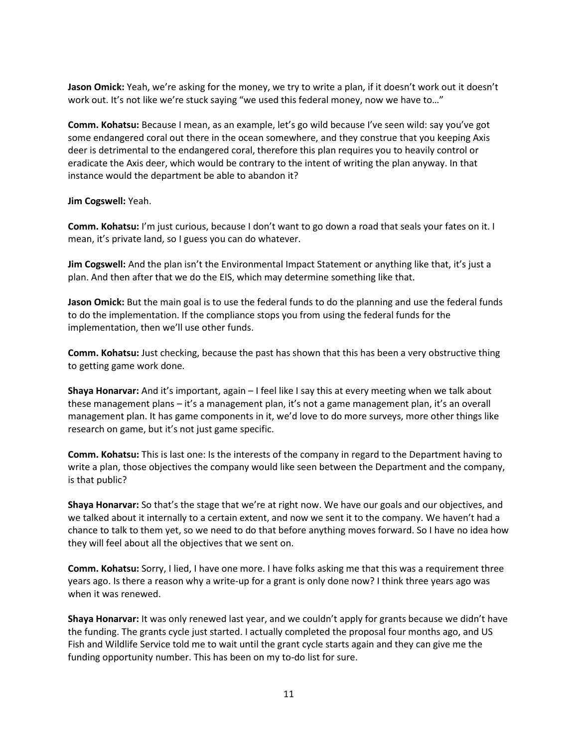**Jason Omick:** Yeah, we're asking for the money, we try to write a plan, if it doesn't work out it doesn't work out. It's not like we're stuck saying "we used this federal money, now we have to..."

**Comm. Kohatsu:** Because I mean, as an example, let's go wild because I've seen wild: say you've got some endangered coral out there in the ocean somewhere, and they construe that you keeping Axis deer is detrimental to the endangered coral, therefore this plan requires you to heavily control or eradicate the Axis deer, which would be contrary to the intent of writing the plan anyway. In that instance would the department be able to abandon it?

**Jim Cogswell:** Yeah.

**Comm. Kohatsu:** I'm just curious, because I don't want to go down a road that seals your fates on it. I mean, it's private land, so I guess you can do whatever.

**Jim Cogswell:** And the plan isn't the Environmental Impact Statement or anything like that, it's just a plan. And then after that we do the EIS, which may determine something like that.

**Jason Omick:** But the main goal is to use the federal funds to do the planning and use the federal funds to do the implementation. If the compliance stops you from using the federal funds for the implementation, then we'll use other funds.

**Comm. Kohatsu:** Just checking, because the past has shown that this has been a very obstructive thing to getting game work done.

**Shaya Honarvar:** And it's important, again – I feel like I say this at every meeting when we talk about these management plans – it's a management plan, it's not a game management plan, it's an overall management plan. It has game components in it, we'd love to do more surveys, more other things like research on game, but it's not just game specific.

**Comm. Kohatsu:** This is last one: Is the interests of the company in regard to the Department having to write a plan, those objectives the company would like seen between the Department and the company, is that public?

**Shaya Honarvar:** So that's the stage that we're at right now. We have our goals and our objectives, and we talked about it internally to a certain extent, and now we sent it to the company. We haven't had a chance to talk to them yet, so we need to do that before anything moves forward. So I have no idea how they will feel about all the objectives that we sent on.

**Comm. Kohatsu:** Sorry, I lied, I have one more. I have folks asking me that this was a requirement three years ago. Is there a reason why a write-up for a grant is only done now? I think three years ago was when it was renewed.

**Shaya Honarvar:** It was only renewed last year, and we couldn't apply for grants because we didn't have the funding. The grants cycle just started. I actually completed the proposal four months ago, and US Fish and Wildlife Service told me to wait until the grant cycle starts again and they can give me the funding opportunity number. This has been on my to-do list for sure.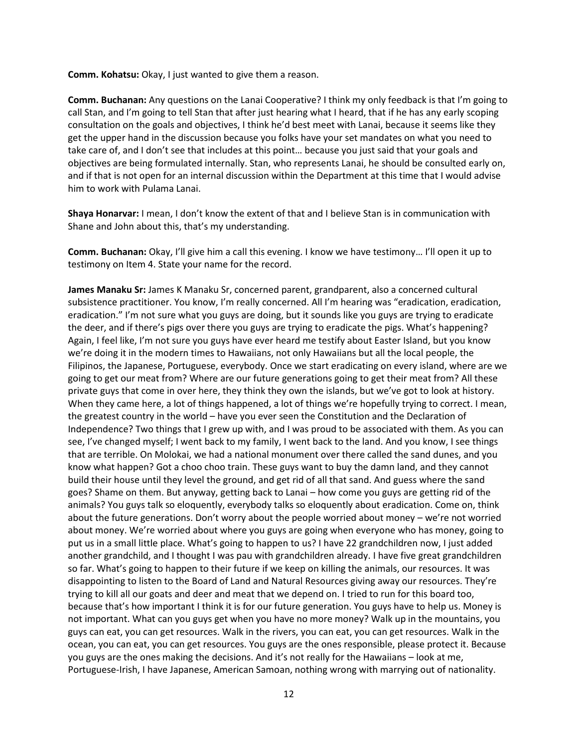**Comm. Kohatsu:** Okay, I just wanted to give them a reason.

**Comm. Buchanan:** Any questions on the Lanai Cooperative? I think my only feedback is that I'm going to call Stan, and I'm going to tell Stan that after just hearing what I heard, that if he has any early scoping consultation on the goals and objectives, I think he'd best meet with Lanai, because it seems like they get the upper hand in the discussion because you folks have your set mandates on what you need to take care of, and I don't see that includes at this point… because you just said that your goals and objectives are being formulated internally. Stan, who represents Lanai, he should be consulted early on, and if that is not open for an internal discussion within the Department at this time that I would advise him to work with Pulama Lanai.

**Shaya Honarvar:** I mean, I don't know the extent of that and I believe Stan is in communication with Shane and John about this, that's my understanding.

**Comm. Buchanan:** Okay, I'll give him a call this evening. I know we have testimony… I'll open it up to testimony on Item 4. State your name for the record.

**James Manaku Sr:** James K Manaku Sr, concerned parent, grandparent, also a concerned cultural subsistence practitioner. You know, I'm really concerned. All I'm hearing was "eradication, eradication, eradication." I'm not sure what you guys are doing, but it sounds like you guys are trying to eradicate the deer, and if there's pigs over there you guys are trying to eradicate the pigs. What's happening? Again, I feel like, I'm not sure you guys have ever heard me testify about Easter Island, but you know we're doing it in the modern times to Hawaiians, not only Hawaiians but all the local people, the Filipinos, the Japanese, Portuguese, everybody. Once we start eradicating on every island, where are we going to get our meat from? Where are our future generations going to get their meat from? All these private guys that come in over here, they think they own the islands, but we've got to look at history. When they came here, a lot of things happened, a lot of things we're hopefully trying to correct. I mean, the greatest country in the world – have you ever seen the Constitution and the Declaration of Independence? Two things that I grew up with, and I was proud to be associated with them. As you can see, I've changed myself; I went back to my family, I went back to the land. And you know, I see things that are terrible. On Molokai, we had a national monument over there called the sand dunes, and you know what happen? Got a choo choo train. These guys want to buy the damn land, and they cannot build their house until they level the ground, and get rid of all that sand. And guess where the sand goes? Shame on them. But anyway, getting back to Lanai – how come you guys are getting rid of the animals? You guys talk so eloquently, everybody talks so eloquently about eradication. Come on, think about the future generations. Don't worry about the people worried about money – we're not worried about money. We're worried about where you guys are going when everyone who has money, going to put us in a small little place. What's going to happen to us? I have 22 grandchildren now, I just added another grandchild, and I thought I was pau with grandchildren already. I have five great grandchildren so far. What's going to happen to their future if we keep on killing the animals, our resources. It was disappointing to listen to the Board of Land and Natural Resources giving away our resources. They're trying to kill all our goats and deer and meat that we depend on. I tried to run for this board too, because that's how important I think it is for our future generation. You guys have to help us. Money is not important. What can you guys get when you have no more money? Walk up in the mountains, you guys can eat, you can get resources. Walk in the rivers, you can eat, you can get resources. Walk in the ocean, you can eat, you can get resources. You guys are the ones responsible, please protect it. Because you guys are the ones making the decisions. And it's not really for the Hawaiians – look at me, Portuguese-Irish, I have Japanese, American Samoan, nothing wrong with marrying out of nationality.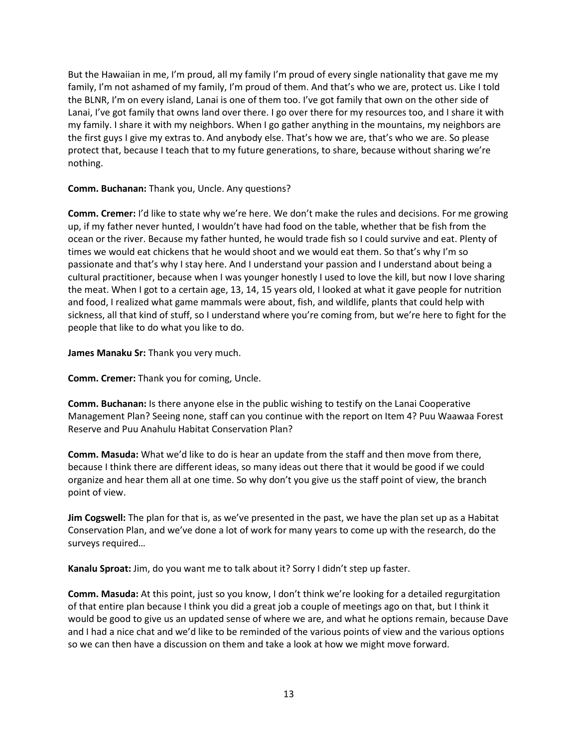But the Hawaiian in me, I'm proud, all my family I'm proud of every single nationality that gave me my family, I'm not ashamed of my family, I'm proud of them. And that's who we are, protect us. Like I told the BLNR, I'm on every island, Lanai is one of them too. I've got family that own on the other side of Lanai, I've got family that owns land over there. I go over there for my resources too, and I share it with my family. I share it with my neighbors. When I go gather anything in the mountains, my neighbors are the first guys I give my extras to. And anybody else. That's how we are, that's who we are. So please protect that, because I teach that to my future generations, to share, because without sharing we're nothing.

**Comm. Buchanan:** Thank you, Uncle. Any questions?

**Comm. Cremer:** I'd like to state why we're here. We don't make the rules and decisions. For me growing up, if my father never hunted, I wouldn't have had food on the table, whether that be fish from the ocean or the river. Because my father hunted, he would trade fish so I could survive and eat. Plenty of times we would eat chickens that he would shoot and we would eat them. So that's why I'm so passionate and that's why I stay here. And I understand your passion and I understand about being a cultural practitioner, because when I was younger honestly I used to love the kill, but now I love sharing the meat. When I got to a certain age, 13, 14, 15 years old, I looked at what it gave people for nutrition and food, I realized what game mammals were about, fish, and wildlife, plants that could help with sickness, all that kind of stuff, so I understand where you're coming from, but we're here to fight for the people that like to do what you like to do.

**James Manaku Sr:** Thank you very much.

**Comm. Cremer:** Thank you for coming, Uncle.

**Comm. Buchanan:** Is there anyone else in the public wishing to testify on the Lanai Cooperative Management Plan? Seeing none, staff can you continue with the report on Item 4? Puu Waawaa Forest Reserve and Puu Anahulu Habitat Conservation Plan?

**Comm. Masuda:** What we'd like to do is hear an update from the staff and then move from there, because I think there are different ideas, so many ideas out there that it would be good if we could organize and hear them all at one time. So why don't you give us the staff point of view, the branch point of view.

**Jim Cogswell:** The plan for that is, as we've presented in the past, we have the plan set up as a Habitat Conservation Plan, and we've done a lot of work for many years to come up with the research, do the surveys required…

**Kanalu Sproat:** Jim, do you want me to talk about it? Sorry I didn't step up faster.

**Comm. Masuda:** At this point, just so you know, I don't think we're looking for a detailed regurgitation of that entire plan because I think you did a great job a couple of meetings ago on that, but I think it would be good to give us an updated sense of where we are, and what he options remain, because Dave and I had a nice chat and we'd like to be reminded of the various points of view and the various options so we can then have a discussion on them and take a look at how we might move forward.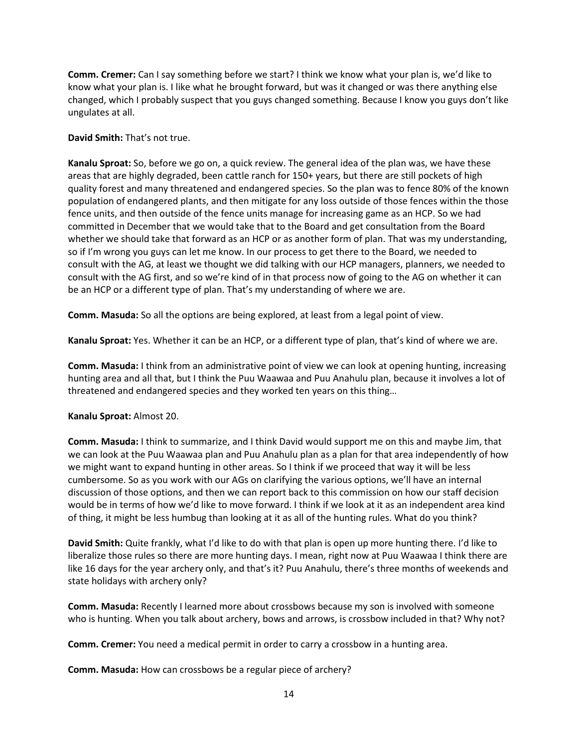**Comm. Cremer:** Can I say something before we start? I think we know what your plan is, we'd like to know what your plan is. I like what he brought forward, but was it changed or was there anything else changed, which I probably suspect that you guys changed something. Because I know you guys don't like ungulates at all.

## **David Smith:** That's not true.

**Kanalu Sproat:** So, before we go on, a quick review. The general idea of the plan was, we have these areas that are highly degraded, been cattle ranch for 150+ years, but there are still pockets of high quality forest and many threatened and endangered species. So the plan was to fence 80% of the known population of endangered plants, and then mitigate for any loss outside of those fences within the those fence units, and then outside of the fence units manage for increasing game as an HCP. So we had committed in December that we would take that to the Board and get consultation from the Board whether we should take that forward as an HCP or as another form of plan. That was my understanding, so if I'm wrong you guys can let me know. In our process to get there to the Board, we needed to consult with the AG, at least we thought we did talking with our HCP managers, planners, we needed to consult with the AG first, and so we're kind of in that process now of going to the AG on whether it can be an HCP or a different type of plan. That's my understanding of where we are.

**Comm. Masuda:** So all the options are being explored, at least from a legal point of view.

**Kanalu Sproat:** Yes. Whether it can be an HCP, or a different type of plan, that's kind of where we are.

**Comm. Masuda:** I think from an administrative point of view we can look at opening hunting, increasing hunting area and all that, but I think the Puu Waawaa and Puu Anahulu plan, because it involves a lot of threatened and endangered species and they worked ten years on this thing…

## **Kanalu Sproat:** Almost 20.

**Comm. Masuda:** I think to summarize, and I think David would support me on this and maybe Jim, that we can look at the Puu Waawaa plan and Puu Anahulu plan as a plan for that area independently of how we might want to expand hunting in other areas. So I think if we proceed that way it will be less cumbersome. So as you work with our AGs on clarifying the various options, we'll have an internal discussion of those options, and then we can report back to this commission on how our staff decision would be in terms of how we'd like to move forward. I think if we look at it as an independent area kind of thing, it might be less humbug than looking at it as all of the hunting rules. What do you think?

**David Smith:** Quite frankly, what I'd like to do with that plan is open up more hunting there. I'd like to liberalize those rules so there are more hunting days. I mean, right now at Puu Waawaa I think there are like 16 days for the year archery only, and that's it? Puu Anahulu, there's three months of weekends and state holidays with archery only?

**Comm. Masuda:** Recently I learned more about crossbows because my son is involved with someone who is hunting. When you talk about archery, bows and arrows, is crossbow included in that? Why not?

**Comm. Cremer:** You need a medical permit in order to carry a crossbow in a hunting area.

**Comm. Masuda:** How can crossbows be a regular piece of archery?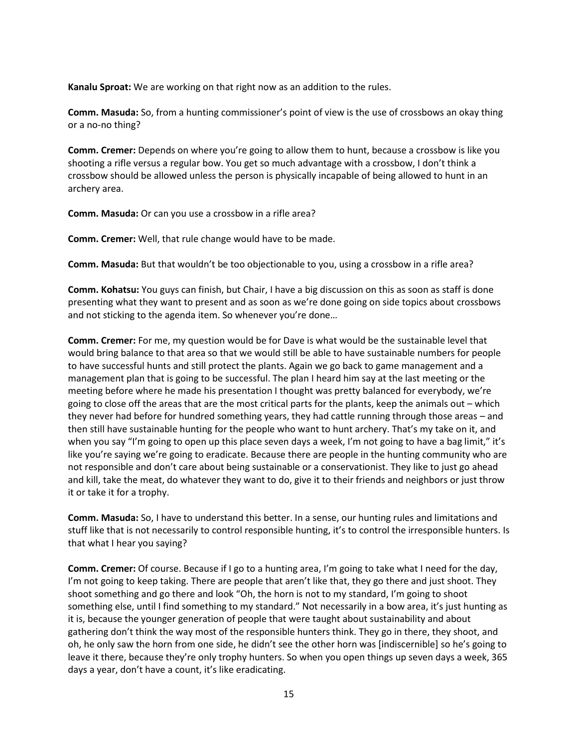**Kanalu Sproat:** We are working on that right now as an addition to the rules.

**Comm. Masuda:** So, from a hunting commissioner's point of view is the use of crossbows an okay thing or a no-no thing?

**Comm. Cremer:** Depends on where you're going to allow them to hunt, because a crossbow is like you shooting a rifle versus a regular bow. You get so much advantage with a crossbow, I don't think a crossbow should be allowed unless the person is physically incapable of being allowed to hunt in an archery area.

**Comm. Masuda:** Or can you use a crossbow in a rifle area?

**Comm. Cremer:** Well, that rule change would have to be made.

**Comm. Masuda:** But that wouldn't be too objectionable to you, using a crossbow in a rifle area?

**Comm. Kohatsu:** You guys can finish, but Chair, I have a big discussion on this as soon as staff is done presenting what they want to present and as soon as we're done going on side topics about crossbows and not sticking to the agenda item. So whenever you're done…

**Comm. Cremer:** For me, my question would be for Dave is what would be the sustainable level that would bring balance to that area so that we would still be able to have sustainable numbers for people to have successful hunts and still protect the plants. Again we go back to game management and a management plan that is going to be successful. The plan I heard him say at the last meeting or the meeting before where he made his presentation I thought was pretty balanced for everybody, we're going to close off the areas that are the most critical parts for the plants, keep the animals out – which they never had before for hundred something years, they had cattle running through those areas – and then still have sustainable hunting for the people who want to hunt archery. That's my take on it, and when you say "I'm going to open up this place seven days a week, I'm not going to have a bag limit," it's like you're saying we're going to eradicate. Because there are people in the hunting community who are not responsible and don't care about being sustainable or a conservationist. They like to just go ahead and kill, take the meat, do whatever they want to do, give it to their friends and neighbors or just throw it or take it for a trophy.

**Comm. Masuda:** So, I have to understand this better. In a sense, our hunting rules and limitations and stuff like that is not necessarily to control responsible hunting, it's to control the irresponsible hunters. Is that what I hear you saying?

**Comm. Cremer:** Of course. Because if I go to a hunting area, I'm going to take what I need for the day, I'm not going to keep taking. There are people that aren't like that, they go there and just shoot. They shoot something and go there and look "Oh, the horn is not to my standard, I'm going to shoot something else, until I find something to my standard." Not necessarily in a bow area, it's just hunting as it is, because the younger generation of people that were taught about sustainability and about gathering don't think the way most of the responsible hunters think. They go in there, they shoot, and oh, he only saw the horn from one side, he didn't see the other horn was [indiscernible] so he's going to leave it there, because they're only trophy hunters. So when you open things up seven days a week, 365 days a year, don't have a count, it's like eradicating.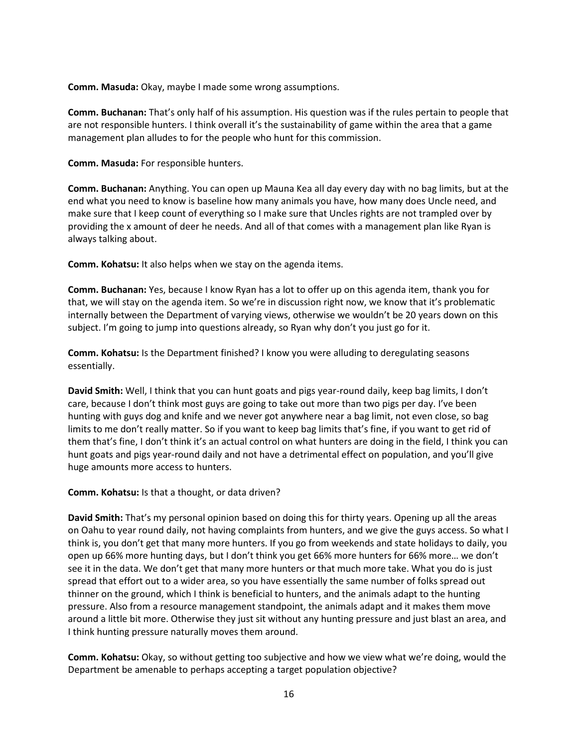**Comm. Masuda:** Okay, maybe I made some wrong assumptions.

**Comm. Buchanan:** That's only half of his assumption. His question was if the rules pertain to people that are not responsible hunters. I think overall it's the sustainability of game within the area that a game management plan alludes to for the people who hunt for this commission.

**Comm. Masuda:** For responsible hunters.

**Comm. Buchanan:** Anything. You can open up Mauna Kea all day every day with no bag limits, but at the end what you need to know is baseline how many animals you have, how many does Uncle need, and make sure that I keep count of everything so I make sure that Uncles rights are not trampled over by providing the x amount of deer he needs. And all of that comes with a management plan like Ryan is always talking about.

**Comm. Kohatsu:** It also helps when we stay on the agenda items.

**Comm. Buchanan:** Yes, because I know Ryan has a lot to offer up on this agenda item, thank you for that, we will stay on the agenda item. So we're in discussion right now, we know that it's problematic internally between the Department of varying views, otherwise we wouldn't be 20 years down on this subject. I'm going to jump into questions already, so Ryan why don't you just go for it.

**Comm. Kohatsu:** Is the Department finished? I know you were alluding to deregulating seasons essentially.

**David Smith:** Well, I think that you can hunt goats and pigs year-round daily, keep bag limits, I don't care, because I don't think most guys are going to take out more than two pigs per day. I've been hunting with guys dog and knife and we never got anywhere near a bag limit, not even close, so bag limits to me don't really matter. So if you want to keep bag limits that's fine, if you want to get rid of them that's fine, I don't think it's an actual control on what hunters are doing in the field, I think you can hunt goats and pigs year-round daily and not have a detrimental effect on population, and you'll give huge amounts more access to hunters.

**Comm. Kohatsu:** Is that a thought, or data driven?

**David Smith:** That's my personal opinion based on doing this for thirty years. Opening up all the areas on Oahu to year round daily, not having complaints from hunters, and we give the guys access. So what I think is, you don't get that many more hunters. If you go from weekends and state holidays to daily, you open up 66% more hunting days, but I don't think you get 66% more hunters for 66% more… we don't see it in the data. We don't get that many more hunters or that much more take. What you do is just spread that effort out to a wider area, so you have essentially the same number of folks spread out thinner on the ground, which I think is beneficial to hunters, and the animals adapt to the hunting pressure. Also from a resource management standpoint, the animals adapt and it makes them move around a little bit more. Otherwise they just sit without any hunting pressure and just blast an area, and I think hunting pressure naturally moves them around.

**Comm. Kohatsu:** Okay, so without getting too subjective and how we view what we're doing, would the Department be amenable to perhaps accepting a target population objective?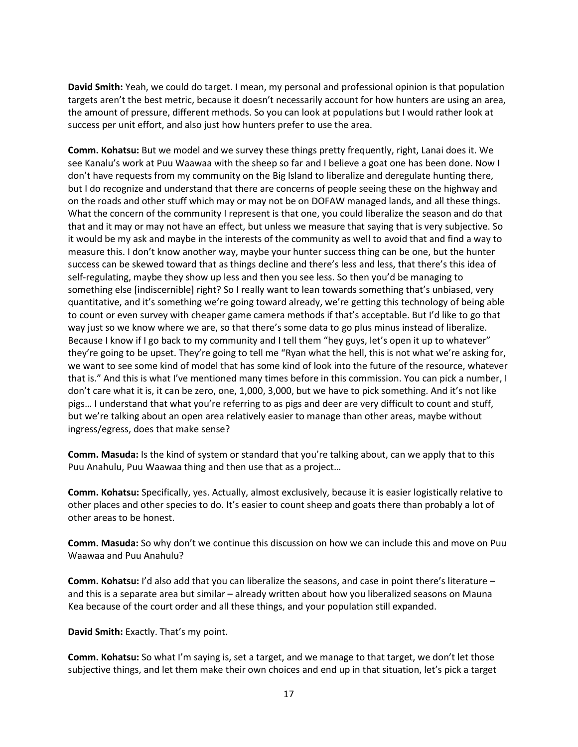**David Smith:** Yeah, we could do target. I mean, my personal and professional opinion is that population targets aren't the best metric, because it doesn't necessarily account for how hunters are using an area, the amount of pressure, different methods. So you can look at populations but I would rather look at success per unit effort, and also just how hunters prefer to use the area.

**Comm. Kohatsu:** But we model and we survey these things pretty frequently, right, Lanai does it. We see Kanalu's work at Puu Waawaa with the sheep so far and I believe a goat one has been done. Now I don't have requests from my community on the Big Island to liberalize and deregulate hunting there, but I do recognize and understand that there are concerns of people seeing these on the highway and on the roads and other stuff which may or may not be on DOFAW managed lands, and all these things. What the concern of the community I represent is that one, you could liberalize the season and do that that and it may or may not have an effect, but unless we measure that saying that is very subjective. So it would be my ask and maybe in the interests of the community as well to avoid that and find a way to measure this. I don't know another way, maybe your hunter success thing can be one, but the hunter success can be skewed toward that as things decline and there's less and less, that there's this idea of self-regulating, maybe they show up less and then you see less. So then you'd be managing to something else [indiscernible] right? So I really want to lean towards something that's unbiased, very quantitative, and it's something we're going toward already, we're getting this technology of being able to count or even survey with cheaper game camera methods if that's acceptable. But I'd like to go that way just so we know where we are, so that there's some data to go plus minus instead of liberalize. Because I know if I go back to my community and I tell them "hey guys, let's open it up to whatever" they're going to be upset. They're going to tell me "Ryan what the hell, this is not what we're asking for, we want to see some kind of model that has some kind of look into the future of the resource, whatever that is." And this is what I've mentioned many times before in this commission. You can pick a number, I don't care what it is, it can be zero, one, 1,000, 3,000, but we have to pick something. And it's not like pigs… I understand that what you're referring to as pigs and deer are very difficult to count and stuff, but we're talking about an open area relatively easier to manage than other areas, maybe without ingress/egress, does that make sense?

**Comm. Masuda:** Is the kind of system or standard that you're talking about, can we apply that to this Puu Anahulu, Puu Waawaa thing and then use that as a project…

**Comm. Kohatsu:** Specifically, yes. Actually, almost exclusively, because it is easier logistically relative to other places and other species to do. It's easier to count sheep and goats there than probably a lot of other areas to be honest.

**Comm. Masuda:** So why don't we continue this discussion on how we can include this and move on Puu Waawaa and Puu Anahulu?

**Comm. Kohatsu:** I'd also add that you can liberalize the seasons, and case in point there's literature – and this is a separate area but similar – already written about how you liberalized seasons on Mauna Kea because of the court order and all these things, and your population still expanded.

**David Smith:** Exactly. That's my point.

**Comm. Kohatsu:** So what I'm saying is, set a target, and we manage to that target, we don't let those subjective things, and let them make their own choices and end up in that situation, let's pick a target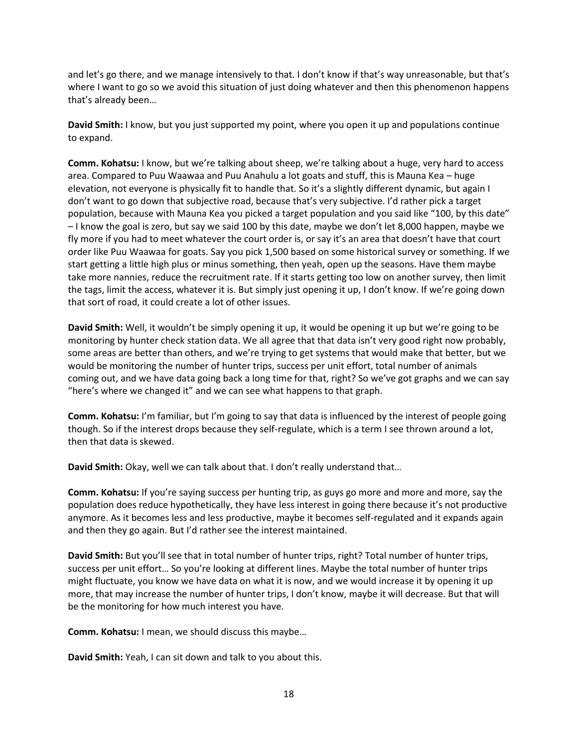and let's go there, and we manage intensively to that. I don't know if that's way unreasonable, but that's where I want to go so we avoid this situation of just doing whatever and then this phenomenon happens that's already been…

**David Smith:** I know, but you just supported my point, where you open it up and populations continue to expand.

**Comm. Kohatsu:** I know, but we're talking about sheep, we're talking about a huge, very hard to access area. Compared to Puu Waawaa and Puu Anahulu a lot goats and stuff, this is Mauna Kea – huge elevation, not everyone is physically fit to handle that. So it's a slightly different dynamic, but again I don't want to go down that subjective road, because that's very subjective. I'd rather pick a target population, because with Mauna Kea you picked a target population and you said like "100, by this date" – I know the goal is zero, but say we said 100 by this date, maybe we don't let 8,000 happen, maybe we fly more if you had to meet whatever the court order is, or say it's an area that doesn't have that court order like Puu Waawaa for goats. Say you pick 1,500 based on some historical survey or something. If we start getting a little high plus or minus something, then yeah, open up the seasons. Have them maybe take more nannies, reduce the recruitment rate. If it starts getting too low on another survey, then limit the tags, limit the access, whatever it is. But simply just opening it up, I don't know. If we're going down that sort of road, it could create a lot of other issues.

**David Smith:** Well, it wouldn't be simply opening it up, it would be opening it up but we're going to be monitoring by hunter check station data. We all agree that that data isn't very good right now probably, some areas are better than others, and we're trying to get systems that would make that better, but we would be monitoring the number of hunter trips, success per unit effort, total number of animals coming out, and we have data going back a long time for that, right? So we've got graphs and we can say "here's where we changed it" and we can see what happens to that graph.

**Comm. Kohatsu:** I'm familiar, but I'm going to say that data is influenced by the interest of people going though. So if the interest drops because they self-regulate, which is a term I see thrown around a lot, then that data is skewed.

**David Smith:** Okay, well we can talk about that. I don't really understand that…

**Comm. Kohatsu:** If you're saying success per hunting trip, as guys go more and more and more, say the population does reduce hypothetically, they have less interest in going there because it's not productive anymore. As it becomes less and less productive, maybe it becomes self-regulated and it expands again and then they go again. But I'd rather see the interest maintained.

**David Smith:** But you'll see that in total number of hunter trips, right? Total number of hunter trips, success per unit effort… So you're looking at different lines. Maybe the total number of hunter trips might fluctuate, you know we have data on what it is now, and we would increase it by opening it up more, that may increase the number of hunter trips, I don't know, maybe it will decrease. But that will be the monitoring for how much interest you have.

**Comm. Kohatsu:** I mean, we should discuss this maybe…

**David Smith:** Yeah, I can sit down and talk to you about this.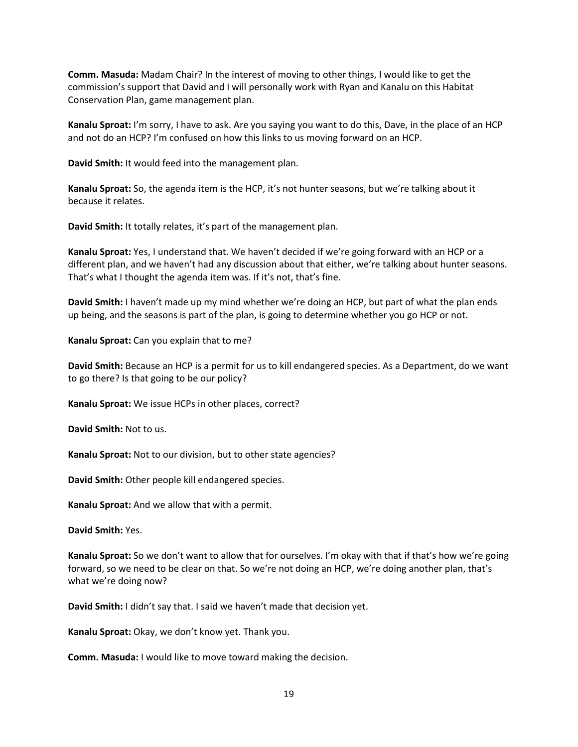**Comm. Masuda:** Madam Chair? In the interest of moving to other things, I would like to get the commission's support that David and I will personally work with Ryan and Kanalu on this Habitat Conservation Plan, game management plan.

**Kanalu Sproat:** I'm sorry, I have to ask. Are you saying you want to do this, Dave, in the place of an HCP and not do an HCP? I'm confused on how this links to us moving forward on an HCP.

**David Smith:** It would feed into the management plan.

**Kanalu Sproat:** So, the agenda item is the HCP, it's not hunter seasons, but we're talking about it because it relates.

**David Smith:** It totally relates, it's part of the management plan.

**Kanalu Sproat:** Yes, I understand that. We haven't decided if we're going forward with an HCP or a different plan, and we haven't had any discussion about that either, we're talking about hunter seasons. That's what I thought the agenda item was. If it's not, that's fine.

**David Smith:** I haven't made up my mind whether we're doing an HCP, but part of what the plan ends up being, and the seasons is part of the plan, is going to determine whether you go HCP or not.

**Kanalu Sproat:** Can you explain that to me?

**David Smith:** Because an HCP is a permit for us to kill endangered species. As a Department, do we want to go there? Is that going to be our policy?

**Kanalu Sproat:** We issue HCPs in other places, correct?

**David Smith:** Not to us.

**Kanalu Sproat:** Not to our division, but to other state agencies?

**David Smith:** Other people kill endangered species.

**Kanalu Sproat:** And we allow that with a permit.

**David Smith:** Yes.

**Kanalu Sproat:** So we don't want to allow that for ourselves. I'm okay with that if that's how we're going forward, so we need to be clear on that. So we're not doing an HCP, we're doing another plan, that's what we're doing now?

**David Smith:** I didn't say that. I said we haven't made that decision yet.

**Kanalu Sproat:** Okay, we don't know yet. Thank you.

**Comm. Masuda:** I would like to move toward making the decision.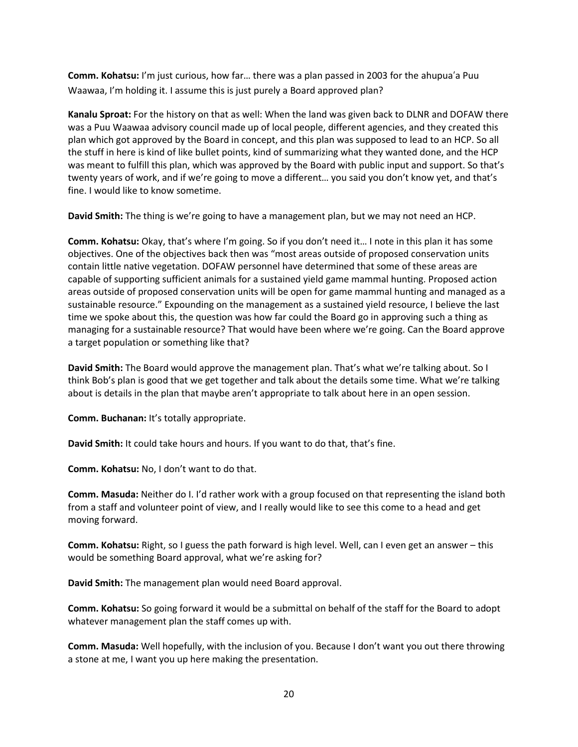**Comm. Kohatsu:** I'm just curious, how far… there was a plan passed in 2003 for the ahupua'a Puu Waawaa, I'm holding it. I assume this is just purely a Board approved plan?

**Kanalu Sproat:** For the history on that as well: When the land was given back to DLNR and DOFAW there was a Puu Waawaa advisory council made up of local people, different agencies, and they created this plan which got approved by the Board in concept, and this plan was supposed to lead to an HCP. So all the stuff in here is kind of like bullet points, kind of summarizing what they wanted done, and the HCP was meant to fulfill this plan, which was approved by the Board with public input and support. So that's twenty years of work, and if we're going to move a different… you said you don't know yet, and that's fine. I would like to know sometime.

**David Smith:** The thing is we're going to have a management plan, but we may not need an HCP.

**Comm. Kohatsu:** Okay, that's where I'm going. So if you don't need it… I note in this plan it has some objectives. One of the objectives back then was "most areas outside of proposed conservation units contain little native vegetation. DOFAW personnel have determined that some of these areas are capable of supporting sufficient animals for a sustained yield game mammal hunting. Proposed action areas outside of proposed conservation units will be open for game mammal hunting and managed as a sustainable resource." Expounding on the management as a sustained yield resource, I believe the last time we spoke about this, the question was how far could the Board go in approving such a thing as managing for a sustainable resource? That would have been where we're going. Can the Board approve a target population or something like that?

**David Smith:** The Board would approve the management plan. That's what we're talking about. So I think Bob's plan is good that we get together and talk about the details some time. What we're talking about is details in the plan that maybe aren't appropriate to talk about here in an open session.

**Comm. Buchanan:** It's totally appropriate.

**David Smith:** It could take hours and hours. If you want to do that, that's fine.

**Comm. Kohatsu:** No, I don't want to do that.

**Comm. Masuda:** Neither do I. I'd rather work with a group focused on that representing the island both from a staff and volunteer point of view, and I really would like to see this come to a head and get moving forward.

**Comm. Kohatsu:** Right, so I guess the path forward is high level. Well, can I even get an answer – this would be something Board approval, what we're asking for?

**David Smith:** The management plan would need Board approval.

**Comm. Kohatsu:** So going forward it would be a submittal on behalf of the staff for the Board to adopt whatever management plan the staff comes up with.

**Comm. Masuda:** Well hopefully, with the inclusion of you. Because I don't want you out there throwing a stone at me, I want you up here making the presentation.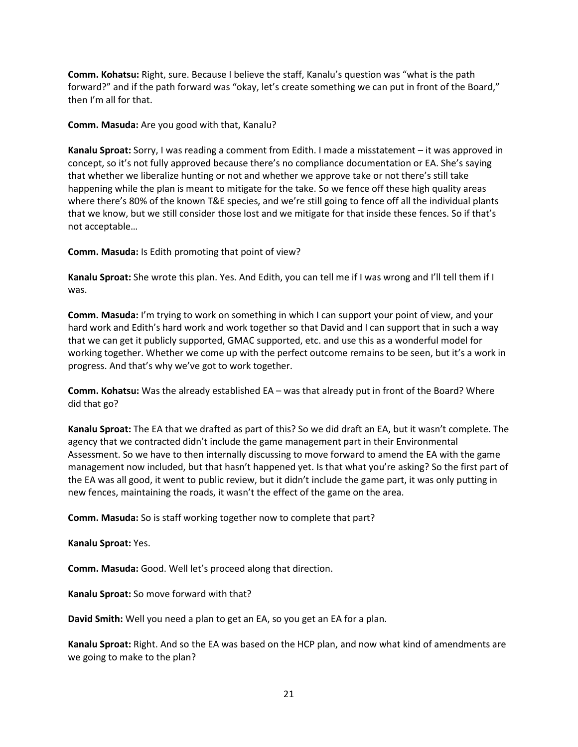**Comm. Kohatsu:** Right, sure. Because I believe the staff, Kanalu's question was "what is the path forward?" and if the path forward was "okay, let's create something we can put in front of the Board," then I'm all for that.

**Comm. Masuda:** Are you good with that, Kanalu?

**Kanalu Sproat:** Sorry, I was reading a comment from Edith. I made a misstatement – it was approved in concept, so it's not fully approved because there's no compliance documentation or EA. She's saying that whether we liberalize hunting or not and whether we approve take or not there's still take happening while the plan is meant to mitigate for the take. So we fence off these high quality areas where there's 80% of the known T&E species, and we're still going to fence off all the individual plants that we know, but we still consider those lost and we mitigate for that inside these fences. So if that's not acceptable…

**Comm. Masuda:** Is Edith promoting that point of view?

**Kanalu Sproat:** She wrote this plan. Yes. And Edith, you can tell me if I was wrong and I'll tell them if I was.

**Comm. Masuda:** I'm trying to work on something in which I can support your point of view, and your hard work and Edith's hard work and work together so that David and I can support that in such a way that we can get it publicly supported, GMAC supported, etc. and use this as a wonderful model for working together. Whether we come up with the perfect outcome remains to be seen, but it's a work in progress. And that's why we've got to work together.

**Comm. Kohatsu:** Was the already established EA – was that already put in front of the Board? Where did that go?

**Kanalu Sproat:** The EA that we drafted as part of this? So we did draft an EA, but it wasn't complete. The agency that we contracted didn't include the game management part in their Environmental Assessment. So we have to then internally discussing to move forward to amend the EA with the game management now included, but that hasn't happened yet. Is that what you're asking? So the first part of the EA was all good, it went to public review, but it didn't include the game part, it was only putting in new fences, maintaining the roads, it wasn't the effect of the game on the area.

**Comm. Masuda:** So is staff working together now to complete that part?

**Kanalu Sproat:** Yes.

**Comm. Masuda:** Good. Well let's proceed along that direction.

**Kanalu Sproat:** So move forward with that?

**David Smith:** Well you need a plan to get an EA, so you get an EA for a plan.

**Kanalu Sproat:** Right. And so the EA was based on the HCP plan, and now what kind of amendments are we going to make to the plan?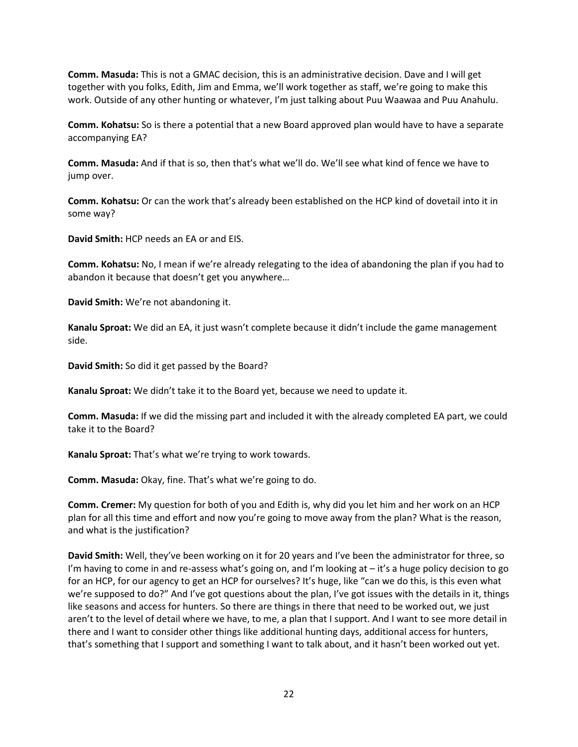**Comm. Masuda:** This is not a GMAC decision, this is an administrative decision. Dave and I will get together with you folks, Edith, Jim and Emma, we'll work together as staff, we're going to make this work. Outside of any other hunting or whatever, I'm just talking about Puu Waawaa and Puu Anahulu.

**Comm. Kohatsu:** So is there a potential that a new Board approved plan would have to have a separate accompanying EA?

**Comm. Masuda:** And if that is so, then that's what we'll do. We'll see what kind of fence we have to jump over.

**Comm. Kohatsu:** Or can the work that's already been established on the HCP kind of dovetail into it in some way?

**David Smith:** HCP needs an EA or and EIS.

**Comm. Kohatsu:** No, I mean if we're already relegating to the idea of abandoning the plan if you had to abandon it because that doesn't get you anywhere…

**David Smith:** We're not abandoning it.

**Kanalu Sproat:** We did an EA, it just wasn't complete because it didn't include the game management side.

**David Smith:** So did it get passed by the Board?

**Kanalu Sproat:** We didn't take it to the Board yet, because we need to update it.

**Comm. Masuda:** If we did the missing part and included it with the already completed EA part, we could take it to the Board?

**Kanalu Sproat:** That's what we're trying to work towards.

**Comm. Masuda:** Okay, fine. That's what we're going to do.

**Comm. Cremer:** My question for both of you and Edith is, why did you let him and her work on an HCP plan for all this time and effort and now you're going to move away from the plan? What is the reason, and what is the justification?

**David Smith:** Well, they've been working on it for 20 years and I've been the administrator for three, so I'm having to come in and re-assess what's going on, and I'm looking at – it's a huge policy decision to go for an HCP, for our agency to get an HCP for ourselves? It's huge, like "can we do this, is this even what we're supposed to do?" And I've got questions about the plan, I've got issues with the details in it, things like seasons and access for hunters. So there are things in there that need to be worked out, we just aren't to the level of detail where we have, to me, a plan that I support. And I want to see more detail in there and I want to consider other things like additional hunting days, additional access for hunters, that's something that I support and something I want to talk about, and it hasn't been worked out yet.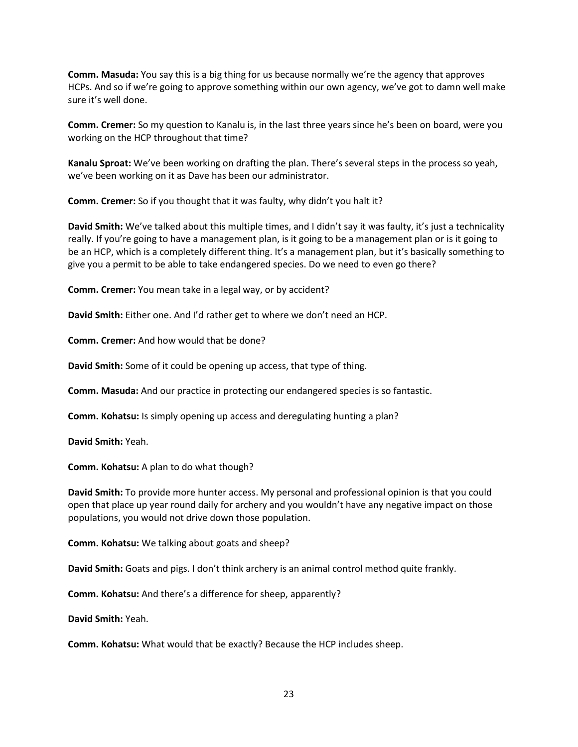**Comm. Masuda:** You say this is a big thing for us because normally we're the agency that approves HCPs. And so if we're going to approve something within our own agency, we've got to damn well make sure it's well done.

**Comm. Cremer:** So my question to Kanalu is, in the last three years since he's been on board, were you working on the HCP throughout that time?

**Kanalu Sproat:** We've been working on drafting the plan. There's several steps in the process so yeah, we've been working on it as Dave has been our administrator.

**Comm. Cremer:** So if you thought that it was faulty, why didn't you halt it?

**David Smith:** We've talked about this multiple times, and I didn't say it was faulty, it's just a technicality really. If you're going to have a management plan, is it going to be a management plan or is it going to be an HCP, which is a completely different thing. It's a management plan, but it's basically something to give you a permit to be able to take endangered species. Do we need to even go there?

**Comm. Cremer:** You mean take in a legal way, or by accident?

**David Smith:** Either one. And I'd rather get to where we don't need an HCP.

**Comm. Cremer:** And how would that be done?

**David Smith:** Some of it could be opening up access, that type of thing.

**Comm. Masuda:** And our practice in protecting our endangered species is so fantastic.

**Comm. Kohatsu:** Is simply opening up access and deregulating hunting a plan?

**David Smith:** Yeah.

**Comm. Kohatsu:** A plan to do what though?

**David Smith:** To provide more hunter access. My personal and professional opinion is that you could open that place up year round daily for archery and you wouldn't have any negative impact on those populations, you would not drive down those population.

**Comm. Kohatsu:** We talking about goats and sheep?

**David Smith:** Goats and pigs. I don't think archery is an animal control method quite frankly.

**Comm. Kohatsu:** And there's a difference for sheep, apparently?

**David Smith:** Yeah.

**Comm. Kohatsu:** What would that be exactly? Because the HCP includes sheep.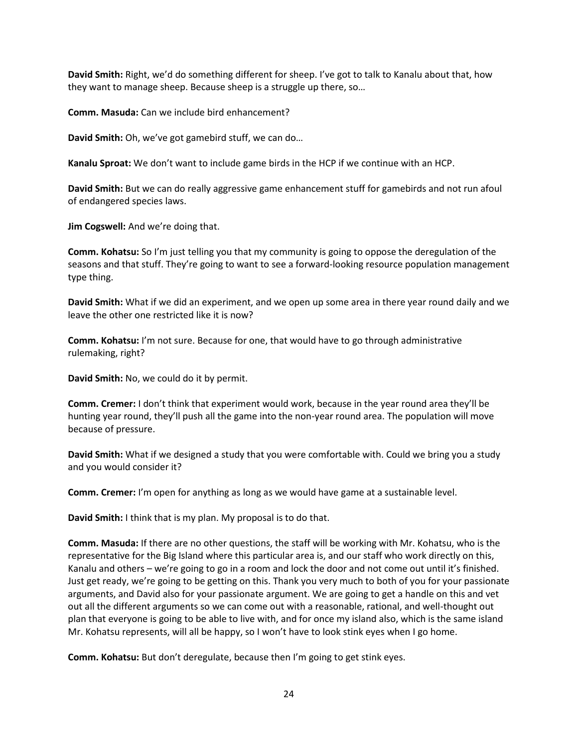**David Smith:** Right, we'd do something different for sheep. I've got to talk to Kanalu about that, how they want to manage sheep. Because sheep is a struggle up there, so…

**Comm. Masuda:** Can we include bird enhancement?

**David Smith:** Oh, we've got gamebird stuff, we can do…

**Kanalu Sproat:** We don't want to include game birds in the HCP if we continue with an HCP.

**David Smith:** But we can do really aggressive game enhancement stuff for gamebirds and not run afoul of endangered species laws.

**Jim Cogswell:** And we're doing that.

**Comm. Kohatsu:** So I'm just telling you that my community is going to oppose the deregulation of the seasons and that stuff. They're going to want to see a forward-looking resource population management type thing.

**David Smith:** What if we did an experiment, and we open up some area in there year round daily and we leave the other one restricted like it is now?

**Comm. Kohatsu:** I'm not sure. Because for one, that would have to go through administrative rulemaking, right?

**David Smith:** No, we could do it by permit.

**Comm. Cremer:** I don't think that experiment would work, because in the year round area they'll be hunting year round, they'll push all the game into the non-year round area. The population will move because of pressure.

**David Smith:** What if we designed a study that you were comfortable with. Could we bring you a study and you would consider it?

**Comm. Cremer:** I'm open for anything as long as we would have game at a sustainable level.

**David Smith:** I think that is my plan. My proposal is to do that.

**Comm. Masuda:** If there are no other questions, the staff will be working with Mr. Kohatsu, who is the representative for the Big Island where this particular area is, and our staff who work directly on this, Kanalu and others – we're going to go in a room and lock the door and not come out until it's finished. Just get ready, we're going to be getting on this. Thank you very much to both of you for your passionate arguments, and David also for your passionate argument. We are going to get a handle on this and vet out all the different arguments so we can come out with a reasonable, rational, and well-thought out plan that everyone is going to be able to live with, and for once my island also, which is the same island Mr. Kohatsu represents, will all be happy, so I won't have to look stink eyes when I go home.

**Comm. Kohatsu:** But don't deregulate, because then I'm going to get stink eyes.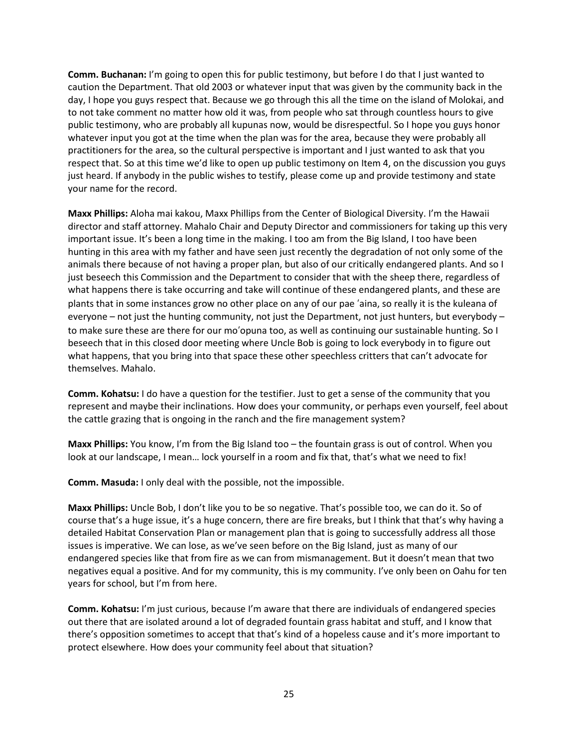**Comm. Buchanan:** I'm going to open this for public testimony, but before I do that I just wanted to caution the Department. That old 2003 or whatever input that was given by the community back in the day, I hope you guys respect that. Because we go through this all the time on the island of Molokai, and to not take comment no matter how old it was, from people who sat through countless hours to give public testimony, who are probably all kupunas now, would be disrespectful. So I hope you guys honor whatever input you got at the time when the plan was for the area, because they were probably all practitioners for the area, so the cultural perspective is important and I just wanted to ask that you respect that. So at this time we'd like to open up public testimony on Item 4, on the discussion you guys just heard. If anybody in the public wishes to testify, please come up and provide testimony and state your name for the record.

**Maxx Phillips:** Aloha mai kakou, Maxx Phillips from the Center of Biological Diversity. I'm the Hawaii director and staff attorney. Mahalo Chair and Deputy Director and commissioners for taking up this very important issue. It's been a long time in the making. I too am from the Big Island, I too have been hunting in this area with my father and have seen just recently the degradation of not only some of the animals there because of not having a proper plan, but also of our critically endangered plants. And so I just beseech this Commission and the Department to consider that with the sheep there, regardless of what happens there is take occurring and take will continue of these endangered plants, and these are plants that in some instances grow no other place on any of our pae 'aina, so really it is the kuleana of everyone – not just the hunting community, not just the Department, not just hunters, but everybody – to make sure these are there for our mo'opuna too, as well as continuing our sustainable hunting. So I beseech that in this closed door meeting where Uncle Bob is going to lock everybody in to figure out what happens, that you bring into that space these other speechless critters that can't advocate for themselves. Mahalo.

**Comm. Kohatsu:** I do have a question for the testifier. Just to get a sense of the community that you represent and maybe their inclinations. How does your community, or perhaps even yourself, feel about the cattle grazing that is ongoing in the ranch and the fire management system?

**Maxx Phillips:** You know, I'm from the Big Island too – the fountain grass is out of control. When you look at our landscape, I mean... lock yourself in a room and fix that, that's what we need to fix!

**Comm. Masuda:** I only deal with the possible, not the impossible.

**Maxx Phillips:** Uncle Bob, I don't like you to be so negative. That's possible too, we can do it. So of course that's a huge issue, it's a huge concern, there are fire breaks, but I think that that's why having a detailed Habitat Conservation Plan or management plan that is going to successfully address all those issues is imperative. We can lose, as we've seen before on the Big Island, just as many of our endangered species like that from fire as we can from mismanagement. But it doesn't mean that two negatives equal a positive. And for my community, this is my community. I've only been on Oahu for ten years for school, but I'm from here.

**Comm. Kohatsu:** I'm just curious, because I'm aware that there are individuals of endangered species out there that are isolated around a lot of degraded fountain grass habitat and stuff, and I know that there's opposition sometimes to accept that that's kind of a hopeless cause and it's more important to protect elsewhere. How does your community feel about that situation?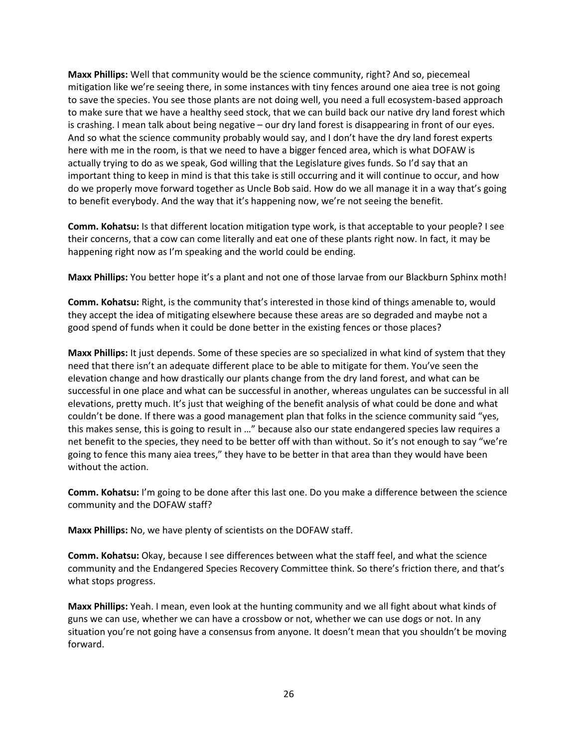**Maxx Phillips:** Well that community would be the science community, right? And so, piecemeal mitigation like we're seeing there, in some instances with tiny fences around one aiea tree is not going to save the species. You see those plants are not doing well, you need a full ecosystem-based approach to make sure that we have a healthy seed stock, that we can build back our native dry land forest which is crashing. I mean talk about being negative – our dry land forest is disappearing in front of our eyes. And so what the science community probably would say, and I don't have the dry land forest experts here with me in the room, is that we need to have a bigger fenced area, which is what DOFAW is actually trying to do as we speak, God willing that the Legislature gives funds. So I'd say that an important thing to keep in mind is that this take is still occurring and it will continue to occur, and how do we properly move forward together as Uncle Bob said. How do we all manage it in a way that's going to benefit everybody. And the way that it's happening now, we're not seeing the benefit.

**Comm. Kohatsu:** Is that different location mitigation type work, is that acceptable to your people? I see their concerns, that a cow can come literally and eat one of these plants right now. In fact, it may be happening right now as I'm speaking and the world could be ending.

**Maxx Phillips:** You better hope it's a plant and not one of those larvae from our Blackburn Sphinx moth!

**Comm. Kohatsu:** Right, is the community that's interested in those kind of things amenable to, would they accept the idea of mitigating elsewhere because these areas are so degraded and maybe not a good spend of funds when it could be done better in the existing fences or those places?

**Maxx Phillips:** It just depends. Some of these species are so specialized in what kind of system that they need that there isn't an adequate different place to be able to mitigate for them. You've seen the elevation change and how drastically our plants change from the dry land forest, and what can be successful in one place and what can be successful in another, whereas ungulates can be successful in all elevations, pretty much. It's just that weighing of the benefit analysis of what could be done and what couldn't be done. If there was a good management plan that folks in the science community said "yes, this makes sense, this is going to result in …" because also our state endangered species law requires a net benefit to the species, they need to be better off with than without. So it's not enough to say "we're going to fence this many aiea trees," they have to be better in that area than they would have been without the action.

**Comm. Kohatsu:** I'm going to be done after this last one. Do you make a difference between the science community and the DOFAW staff?

**Maxx Phillips:** No, we have plenty of scientists on the DOFAW staff.

**Comm. Kohatsu:** Okay, because I see differences between what the staff feel, and what the science community and the Endangered Species Recovery Committee think. So there's friction there, and that's what stops progress.

**Maxx Phillips:** Yeah. I mean, even look at the hunting community and we all fight about what kinds of guns we can use, whether we can have a crossbow or not, whether we can use dogs or not. In any situation you're not going have a consensus from anyone. It doesn't mean that you shouldn't be moving forward.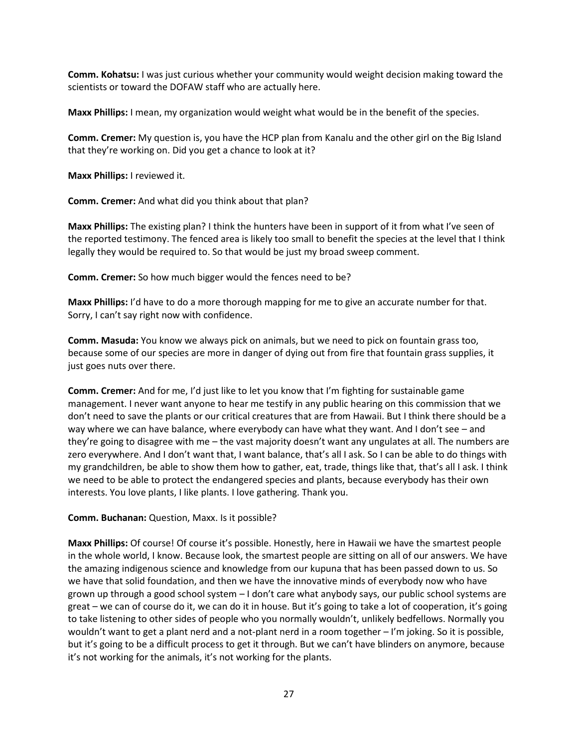**Comm. Kohatsu:** I was just curious whether your community would weight decision making toward the scientists or toward the DOFAW staff who are actually here.

**Maxx Phillips:** I mean, my organization would weight what would be in the benefit of the species.

**Comm. Cremer:** My question is, you have the HCP plan from Kanalu and the other girl on the Big Island that they're working on. Did you get a chance to look at it?

**Maxx Phillips:** I reviewed it.

**Comm. Cremer:** And what did you think about that plan?

**Maxx Phillips:** The existing plan? I think the hunters have been in support of it from what I've seen of the reported testimony. The fenced area is likely too small to benefit the species at the level that I think legally they would be required to. So that would be just my broad sweep comment.

**Comm. Cremer:** So how much bigger would the fences need to be?

**Maxx Phillips:** I'd have to do a more thorough mapping for me to give an accurate number for that. Sorry, I can't say right now with confidence.

**Comm. Masuda:** You know we always pick on animals, but we need to pick on fountain grass too, because some of our species are more in danger of dying out from fire that fountain grass supplies, it just goes nuts over there.

**Comm. Cremer:** And for me, I'd just like to let you know that I'm fighting for sustainable game management. I never want anyone to hear me testify in any public hearing on this commission that we don't need to save the plants or our critical creatures that are from Hawaii. But I think there should be a way where we can have balance, where everybody can have what they want. And I don't see – and they're going to disagree with me – the vast majority doesn't want any ungulates at all. The numbers are zero everywhere. And I don't want that, I want balance, that's all I ask. So I can be able to do things with my grandchildren, be able to show them how to gather, eat, trade, things like that, that's all I ask. I think we need to be able to protect the endangered species and plants, because everybody has their own interests. You love plants, I like plants. I love gathering. Thank you.

# **Comm. Buchanan:** Question, Maxx. Is it possible?

**Maxx Phillips:** Of course! Of course it's possible. Honestly, here in Hawaii we have the smartest people in the whole world, I know. Because look, the smartest people are sitting on all of our answers. We have the amazing indigenous science and knowledge from our kupuna that has been passed down to us. So we have that solid foundation, and then we have the innovative minds of everybody now who have grown up through a good school system – I don't care what anybody says, our public school systems are great – we can of course do it, we can do it in house. But it's going to take a lot of cooperation, it's going to take listening to other sides of people who you normally wouldn't, unlikely bedfellows. Normally you wouldn't want to get a plant nerd and a not-plant nerd in a room together – I'm joking. So it is possible, but it's going to be a difficult process to get it through. But we can't have blinders on anymore, because it's not working for the animals, it's not working for the plants.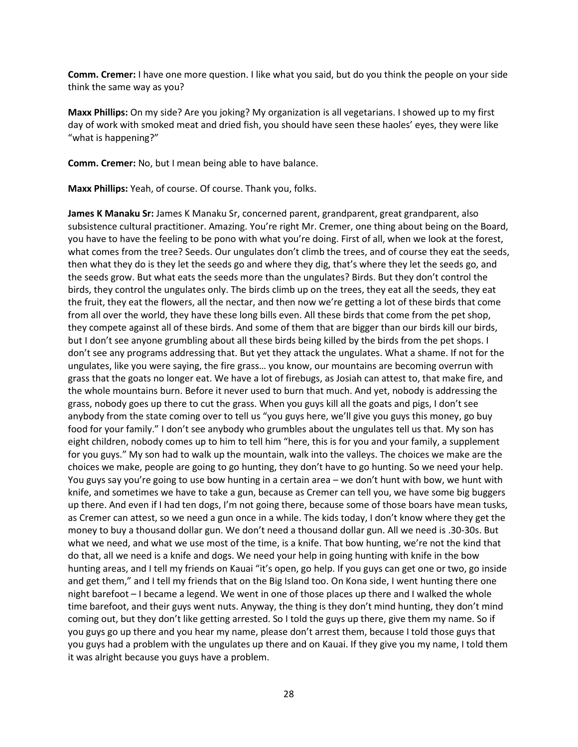**Comm. Cremer:** I have one more question. I like what you said, but do you think the people on your side think the same way as you?

**Maxx Phillips:** On my side? Are you joking? My organization is all vegetarians. I showed up to my first day of work with smoked meat and dried fish, you should have seen these haoles' eyes, they were like "what is happening?"

**Comm. Cremer:** No, but I mean being able to have balance.

**Maxx Phillips:** Yeah, of course. Of course. Thank you, folks.

**James K Manaku Sr:** James K Manaku Sr, concerned parent, grandparent, great grandparent, also subsistence cultural practitioner. Amazing. You're right Mr. Cremer, one thing about being on the Board, you have to have the feeling to be pono with what you're doing. First of all, when we look at the forest, what comes from the tree? Seeds. Our ungulates don't climb the trees, and of course they eat the seeds, then what they do is they let the seeds go and where they dig, that's where they let the seeds go, and the seeds grow. But what eats the seeds more than the ungulates? Birds. But they don't control the birds, they control the ungulates only. The birds climb up on the trees, they eat all the seeds, they eat the fruit, they eat the flowers, all the nectar, and then now we're getting a lot of these birds that come from all over the world, they have these long bills even. All these birds that come from the pet shop, they compete against all of these birds. And some of them that are bigger than our birds kill our birds, but I don't see anyone grumbling about all these birds being killed by the birds from the pet shops. I don't see any programs addressing that. But yet they attack the ungulates. What a shame. If not for the ungulates, like you were saying, the fire grass… you know, our mountains are becoming overrun with grass that the goats no longer eat. We have a lot of firebugs, as Josiah can attest to, that make fire, and the whole mountains burn. Before it never used to burn that much. And yet, nobody is addressing the grass, nobody goes up there to cut the grass. When you guys kill all the goats and pigs, I don't see anybody from the state coming over to tell us "you guys here, we'll give you guys this money, go buy food for your family." I don't see anybody who grumbles about the ungulates tell us that. My son has eight children, nobody comes up to him to tell him "here, this is for you and your family, a supplement for you guys." My son had to walk up the mountain, walk into the valleys. The choices we make are the choices we make, people are going to go hunting, they don't have to go hunting. So we need your help. You guys say you're going to use bow hunting in a certain area – we don't hunt with bow, we hunt with knife, and sometimes we have to take a gun, because as Cremer can tell you, we have some big buggers up there. And even if I had ten dogs, I'm not going there, because some of those boars have mean tusks, as Cremer can attest, so we need a gun once in a while. The kids today, I don't know where they get the money to buy a thousand dollar gun. We don't need a thousand dollar gun. All we need is .30-30s. But what we need, and what we use most of the time, is a knife. That bow hunting, we're not the kind that do that, all we need is a knife and dogs. We need your help in going hunting with knife in the bow hunting areas, and I tell my friends on Kauai "it's open, go help. If you guys can get one or two, go inside and get them," and I tell my friends that on the Big Island too. On Kona side, I went hunting there one night barefoot – I became a legend. We went in one of those places up there and I walked the whole time barefoot, and their guys went nuts. Anyway, the thing is they don't mind hunting, they don't mind coming out, but they don't like getting arrested. So I told the guys up there, give them my name. So if you guys go up there and you hear my name, please don't arrest them, because I told those guys that you guys had a problem with the ungulates up there and on Kauai. If they give you my name, I told them it was alright because you guys have a problem.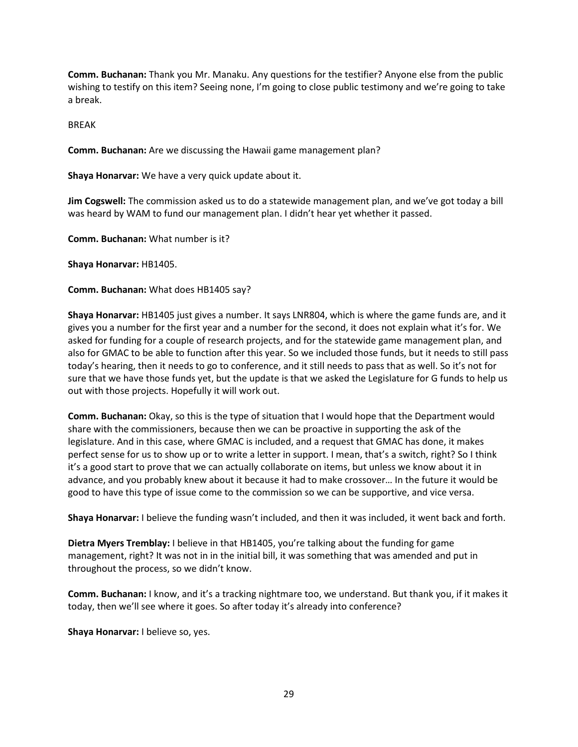**Comm. Buchanan:** Thank you Mr. Manaku. Any questions for the testifier? Anyone else from the public wishing to testify on this item? Seeing none, I'm going to close public testimony and we're going to take a break.

BREAK

**Comm. Buchanan:** Are we discussing the Hawaii game management plan?

**Shaya Honarvar:** We have a very quick update about it.

**Jim Cogswell:** The commission asked us to do a statewide management plan, and we've got today a bill was heard by WAM to fund our management plan. I didn't hear yet whether it passed.

**Comm. Buchanan:** What number is it?

**Shaya Honarvar:** HB1405.

**Comm. Buchanan:** What does HB1405 say?

**Shaya Honarvar:** HB1405 just gives a number. It says LNR804, which is where the game funds are, and it gives you a number for the first year and a number for the second, it does not explain what it's for. We asked for funding for a couple of research projects, and for the statewide game management plan, and also for GMAC to be able to function after this year. So we included those funds, but it needs to still pass today's hearing, then it needs to go to conference, and it still needs to pass that as well. So it's not for sure that we have those funds yet, but the update is that we asked the Legislature for G funds to help us out with those projects. Hopefully it will work out.

**Comm. Buchanan:** Okay, so this is the type of situation that I would hope that the Department would share with the commissioners, because then we can be proactive in supporting the ask of the legislature. And in this case, where GMAC is included, and a request that GMAC has done, it makes perfect sense for us to show up or to write a letter in support. I mean, that's a switch, right? So I think it's a good start to prove that we can actually collaborate on items, but unless we know about it in advance, and you probably knew about it because it had to make crossover… In the future it would be good to have this type of issue come to the commission so we can be supportive, and vice versa.

**Shaya Honarvar:** I believe the funding wasn't included, and then it was included, it went back and forth.

**Dietra Myers Tremblay:** I believe in that HB1405, you're talking about the funding for game management, right? It was not in in the initial bill, it was something that was amended and put in throughout the process, so we didn't know.

**Comm. Buchanan:** I know, and it's a tracking nightmare too, we understand. But thank you, if it makes it today, then we'll see where it goes. So after today it's already into conference?

**Shaya Honarvar:** I believe so, yes.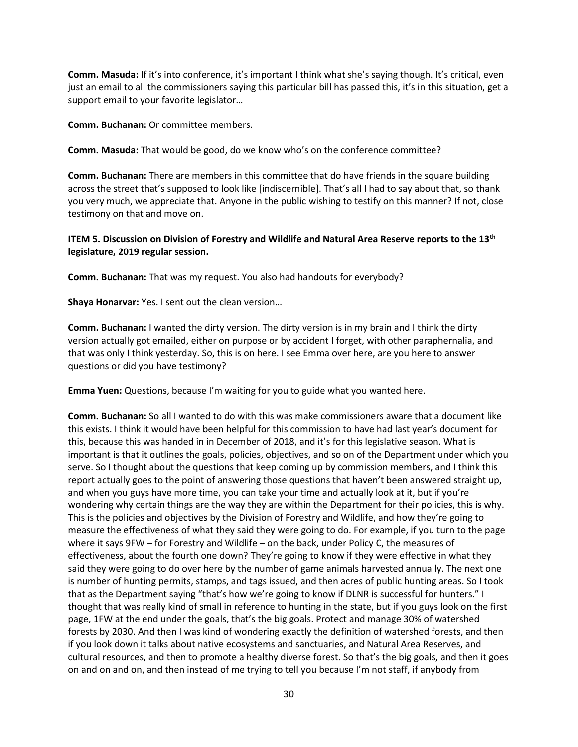**Comm. Masuda:** If it's into conference, it's important I think what she's saying though. It's critical, even just an email to all the commissioners saying this particular bill has passed this, it's in this situation, get a support email to your favorite legislator…

**Comm. Buchanan:** Or committee members.

**Comm. Masuda:** That would be good, do we know who's on the conference committee?

**Comm. Buchanan:** There are members in this committee that do have friends in the square building across the street that's supposed to look like [indiscernible]. That's all I had to say about that, so thank you very much, we appreciate that. Anyone in the public wishing to testify on this manner? If not, close testimony on that and move on.

**ITEM 5. Discussion on Division of Forestry and Wildlife and Natural Area Reserve reports to the 13th legislature, 2019 regular session.**

**Comm. Buchanan:** That was my request. You also had handouts for everybody?

**Shaya Honarvar:** Yes. I sent out the clean version…

**Comm. Buchanan:** I wanted the dirty version. The dirty version is in my brain and I think the dirty version actually got emailed, either on purpose or by accident I forget, with other paraphernalia, and that was only I think yesterday. So, this is on here. I see Emma over here, are you here to answer questions or did you have testimony?

**Emma Yuen:** Questions, because I'm waiting for you to guide what you wanted here.

**Comm. Buchanan:** So all I wanted to do with this was make commissioners aware that a document like this exists. I think it would have been helpful for this commission to have had last year's document for this, because this was handed in in December of 2018, and it's for this legislative season. What is important is that it outlines the goals, policies, objectives, and so on of the Department under which you serve. So I thought about the questions that keep coming up by commission members, and I think this report actually goes to the point of answering those questions that haven't been answered straight up, and when you guys have more time, you can take your time and actually look at it, but if you're wondering why certain things are the way they are within the Department for their policies, this is why. This is the policies and objectives by the Division of Forestry and Wildlife, and how they're going to measure the effectiveness of what they said they were going to do. For example, if you turn to the page where it says 9FW – for Forestry and Wildlife – on the back, under Policy C, the measures of effectiveness, about the fourth one down? They're going to know if they were effective in what they said they were going to do over here by the number of game animals harvested annually. The next one is number of hunting permits, stamps, and tags issued, and then acres of public hunting areas. So I took that as the Department saying "that's how we're going to know if DLNR is successful for hunters." I thought that was really kind of small in reference to hunting in the state, but if you guys look on the first page, 1FW at the end under the goals, that's the big goals. Protect and manage 30% of watershed forests by 2030. And then I was kind of wondering exactly the definition of watershed forests, and then if you look down it talks about native ecosystems and sanctuaries, and Natural Area Reserves, and cultural resources, and then to promote a healthy diverse forest. So that's the big goals, and then it goes on and on and on, and then instead of me trying to tell you because I'm not staff, if anybody from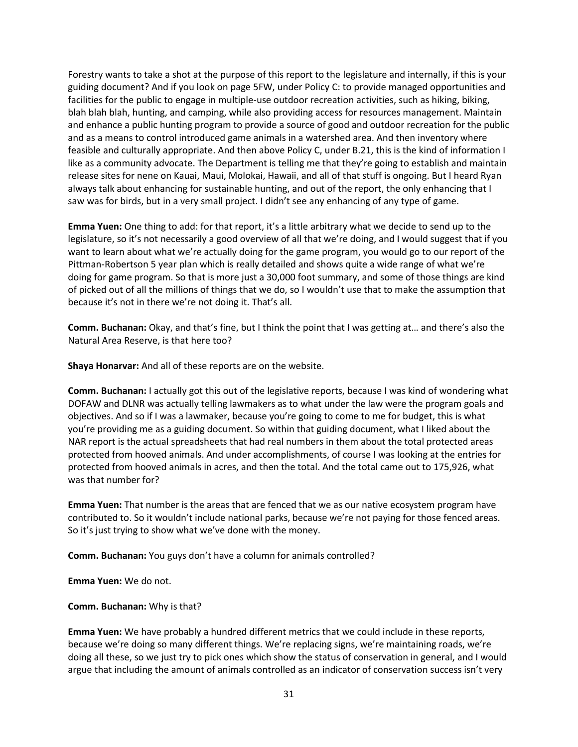Forestry wants to take a shot at the purpose of this report to the legislature and internally, if this is your guiding document? And if you look on page 5FW, under Policy C: to provide managed opportunities and facilities for the public to engage in multiple-use outdoor recreation activities, such as hiking, biking, blah blah blah, hunting, and camping, while also providing access for resources management. Maintain and enhance a public hunting program to provide a source of good and outdoor recreation for the public and as a means to control introduced game animals in a watershed area. And then inventory where feasible and culturally appropriate. And then above Policy C, under B.21, this is the kind of information I like as a community advocate. The Department is telling me that they're going to establish and maintain release sites for nene on Kauai, Maui, Molokai, Hawaii, and all of that stuff is ongoing. But I heard Ryan always talk about enhancing for sustainable hunting, and out of the report, the only enhancing that I saw was for birds, but in a very small project. I didn't see any enhancing of any type of game.

**Emma Yuen:** One thing to add: for that report, it's a little arbitrary what we decide to send up to the legislature, so it's not necessarily a good overview of all that we're doing, and I would suggest that if you want to learn about what we're actually doing for the game program, you would go to our report of the Pittman-Robertson 5 year plan which is really detailed and shows quite a wide range of what we're doing for game program. So that is more just a 30,000 foot summary, and some of those things are kind of picked out of all the millions of things that we do, so I wouldn't use that to make the assumption that because it's not in there we're not doing it. That's all.

**Comm. Buchanan:** Okay, and that's fine, but I think the point that I was getting at… and there's also the Natural Area Reserve, is that here too?

**Shaya Honarvar:** And all of these reports are on the website.

**Comm. Buchanan:** I actually got this out of the legislative reports, because I was kind of wondering what DOFAW and DLNR was actually telling lawmakers as to what under the law were the program goals and objectives. And so if I was a lawmaker, because you're going to come to me for budget, this is what you're providing me as a guiding document. So within that guiding document, what I liked about the NAR report is the actual spreadsheets that had real numbers in them about the total protected areas protected from hooved animals. And under accomplishments, of course I was looking at the entries for protected from hooved animals in acres, and then the total. And the total came out to 175,926, what was that number for?

**Emma Yuen:** That number is the areas that are fenced that we as our native ecosystem program have contributed to. So it wouldn't include national parks, because we're not paying for those fenced areas. So it's just trying to show what we've done with the money.

**Comm. Buchanan:** You guys don't have a column for animals controlled?

**Emma Yuen:** We do not.

**Comm. Buchanan:** Why is that?

**Emma Yuen:** We have probably a hundred different metrics that we could include in these reports, because we're doing so many different things. We're replacing signs, we're maintaining roads, we're doing all these, so we just try to pick ones which show the status of conservation in general, and I would argue that including the amount of animals controlled as an indicator of conservation success isn't very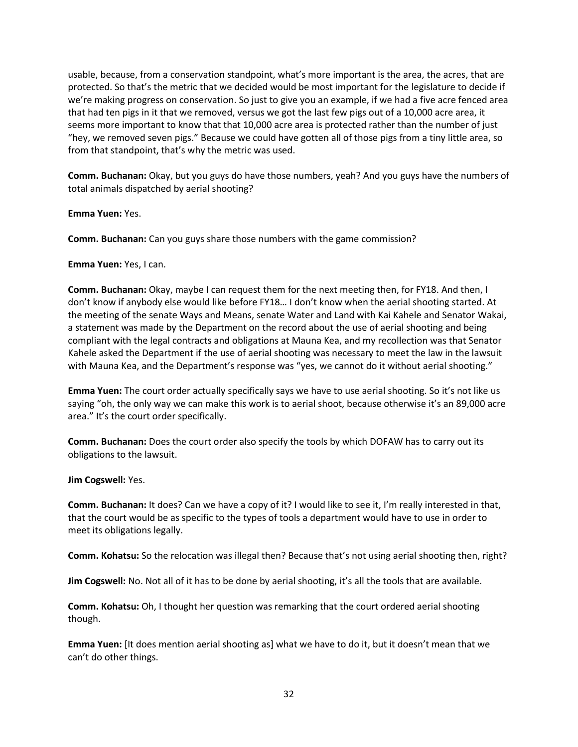usable, because, from a conservation standpoint, what's more important is the area, the acres, that are protected. So that's the metric that we decided would be most important for the legislature to decide if we're making progress on conservation. So just to give you an example, if we had a five acre fenced area that had ten pigs in it that we removed, versus we got the last few pigs out of a 10,000 acre area, it seems more important to know that that 10,000 acre area is protected rather than the number of just "hey, we removed seven pigs." Because we could have gotten all of those pigs from a tiny little area, so from that standpoint, that's why the metric was used.

**Comm. Buchanan:** Okay, but you guys do have those numbers, yeah? And you guys have the numbers of total animals dispatched by aerial shooting?

**Emma Yuen:** Yes.

**Comm. Buchanan:** Can you guys share those numbers with the game commission?

**Emma Yuen:** Yes, I can.

**Comm. Buchanan:** Okay, maybe I can request them for the next meeting then, for FY18. And then, I don't know if anybody else would like before FY18… I don't know when the aerial shooting started. At the meeting of the senate Ways and Means, senate Water and Land with Kai Kahele and Senator Wakai, a statement was made by the Department on the record about the use of aerial shooting and being compliant with the legal contracts and obligations at Mauna Kea, and my recollection was that Senator Kahele asked the Department if the use of aerial shooting was necessary to meet the law in the lawsuit with Mauna Kea, and the Department's response was "yes, we cannot do it without aerial shooting."

**Emma Yuen:** The court order actually specifically says we have to use aerial shooting. So it's not like us saying "oh, the only way we can make this work is to aerial shoot, because otherwise it's an 89,000 acre area." It's the court order specifically.

**Comm. Buchanan:** Does the court order also specify the tools by which DOFAW has to carry out its obligations to the lawsuit.

**Jim Cogswell:** Yes.

**Comm. Buchanan:** It does? Can we have a copy of it? I would like to see it, I'm really interested in that, that the court would be as specific to the types of tools a department would have to use in order to meet its obligations legally.

**Comm. Kohatsu:** So the relocation was illegal then? Because that's not using aerial shooting then, right?

**Jim Cogswell:** No. Not all of it has to be done by aerial shooting, it's all the tools that are available.

**Comm. Kohatsu:** Oh, I thought her question was remarking that the court ordered aerial shooting though.

**Emma Yuen:** [It does mention aerial shooting as] what we have to do it, but it doesn't mean that we can't do other things.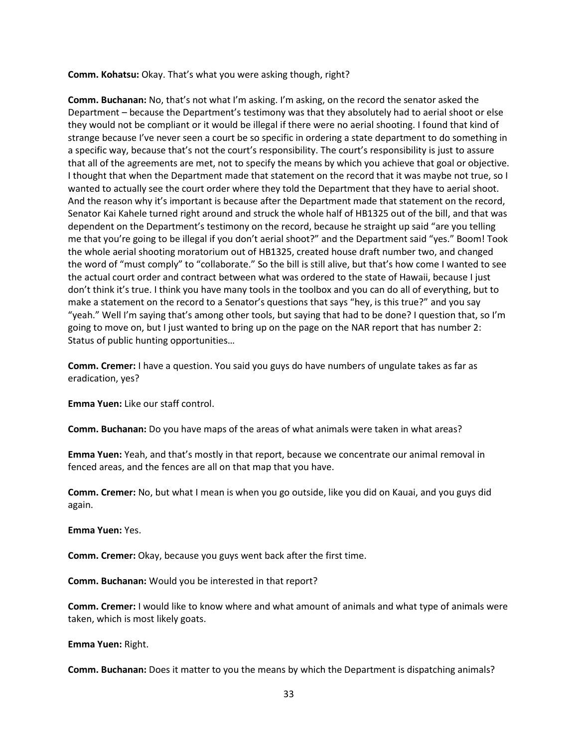**Comm. Kohatsu:** Okay. That's what you were asking though, right?

**Comm. Buchanan:** No, that's not what I'm asking. I'm asking, on the record the senator asked the Department – because the Department's testimony was that they absolutely had to aerial shoot or else they would not be compliant or it would be illegal if there were no aerial shooting. I found that kind of strange because I've never seen a court be so specific in ordering a state department to do something in a specific way, because that's not the court's responsibility. The court's responsibility is just to assure that all of the agreements are met, not to specify the means by which you achieve that goal or objective. I thought that when the Department made that statement on the record that it was maybe not true, so I wanted to actually see the court order where they told the Department that they have to aerial shoot. And the reason why it's important is because after the Department made that statement on the record, Senator Kai Kahele turned right around and struck the whole half of HB1325 out of the bill, and that was dependent on the Department's testimony on the record, because he straight up said "are you telling me that you're going to be illegal if you don't aerial shoot?" and the Department said "yes." Boom! Took the whole aerial shooting moratorium out of HB1325, created house draft number two, and changed the word of "must comply" to "collaborate." So the bill is still alive, but that's how come I wanted to see the actual court order and contract between what was ordered to the state of Hawaii, because I just don't think it's true. I think you have many tools in the toolbox and you can do all of everything, but to make a statement on the record to a Senator's questions that says "hey, is this true?" and you say "yeah." Well I'm saying that's among other tools, but saying that had to be done? I question that, so I'm going to move on, but I just wanted to bring up on the page on the NAR report that has number 2: Status of public hunting opportunities…

**Comm. Cremer:** I have a question. You said you guys do have numbers of ungulate takes as far as eradication, yes?

**Emma Yuen:** Like our staff control.

**Comm. Buchanan:** Do you have maps of the areas of what animals were taken in what areas?

**Emma Yuen:** Yeah, and that's mostly in that report, because we concentrate our animal removal in fenced areas, and the fences are all on that map that you have.

**Comm. Cremer:** No, but what I mean is when you go outside, like you did on Kauai, and you guys did again.

**Emma Yuen:** Yes.

**Comm. Cremer:** Okay, because you guys went back after the first time.

**Comm. Buchanan:** Would you be interested in that report?

**Comm. Cremer:** I would like to know where and what amount of animals and what type of animals were taken, which is most likely goats.

**Emma Yuen:** Right.

**Comm. Buchanan:** Does it matter to you the means by which the Department is dispatching animals?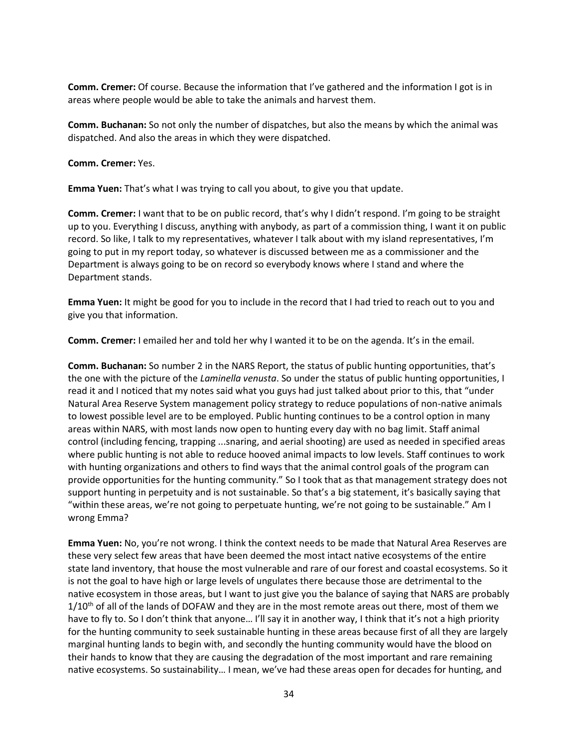**Comm. Cremer:** Of course. Because the information that I've gathered and the information I got is in areas where people would be able to take the animals and harvest them.

**Comm. Buchanan:** So not only the number of dispatches, but also the means by which the animal was dispatched. And also the areas in which they were dispatched.

**Comm. Cremer:** Yes.

**Emma Yuen:** That's what I was trying to call you about, to give you that update.

**Comm. Cremer:** I want that to be on public record, that's why I didn't respond. I'm going to be straight up to you. Everything I discuss, anything with anybody, as part of a commission thing, I want it on public record. So like, I talk to my representatives, whatever I talk about with my island representatives, I'm going to put in my report today, so whatever is discussed between me as a commissioner and the Department is always going to be on record so everybody knows where I stand and where the Department stands.

**Emma Yuen:** It might be good for you to include in the record that I had tried to reach out to you and give you that information.

**Comm. Cremer:** I emailed her and told her why I wanted it to be on the agenda. It's in the email.

**Comm. Buchanan:** So number 2 in the NARS Report, the status of public hunting opportunities, that's the one with the picture of the *Laminella venusta*. So under the status of public hunting opportunities, I read it and I noticed that my notes said what you guys had just talked about prior to this, that "under Natural Area Reserve System management policy strategy to reduce populations of non-native animals to lowest possible level are to be employed. Public hunting continues to be a control option in many areas within NARS, with most lands now open to hunting every day with no bag limit. Staff animal control (including fencing, trapping ...snaring, and aerial shooting) are used as needed in specified areas where public hunting is not able to reduce hooved animal impacts to low levels. Staff continues to work with hunting organizations and others to find ways that the animal control goals of the program can provide opportunities for the hunting community." So I took that as that management strategy does not support hunting in perpetuity and is not sustainable. So that's a big statement, it's basically saying that "within these areas, we're not going to perpetuate hunting, we're not going to be sustainable." Am I wrong Emma?

**Emma Yuen:** No, you're not wrong. I think the context needs to be made that Natural Area Reserves are these very select few areas that have been deemed the most intact native ecosystems of the entire state land inventory, that house the most vulnerable and rare of our forest and coastal ecosystems. So it is not the goal to have high or large levels of ungulates there because those are detrimental to the native ecosystem in those areas, but I want to just give you the balance of saying that NARS are probably  $1/10<sup>th</sup>$  of all of the lands of DOFAW and they are in the most remote areas out there, most of them we have to fly to. So I don't think that anyone... I'll say it in another way, I think that it's not a high priority for the hunting community to seek sustainable hunting in these areas because first of all they are largely marginal hunting lands to begin with, and secondly the hunting community would have the blood on their hands to know that they are causing the degradation of the most important and rare remaining native ecosystems. So sustainability… I mean, we've had these areas open for decades for hunting, and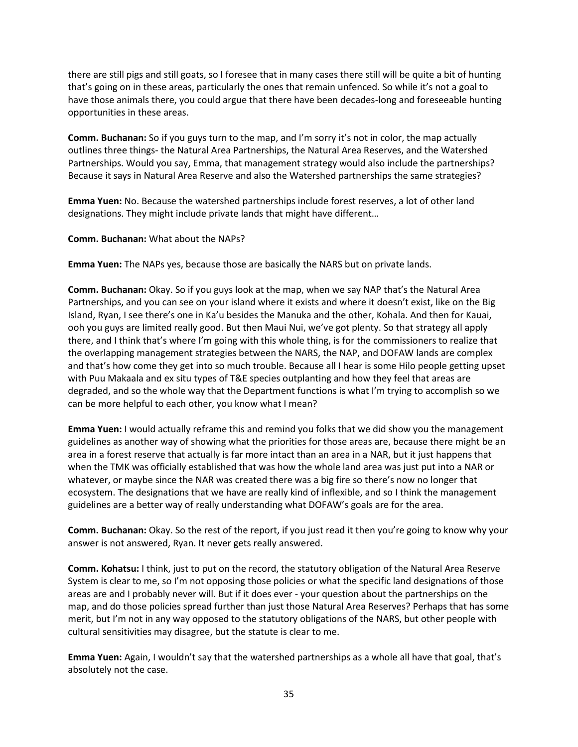there are still pigs and still goats, so I foresee that in many cases there still will be quite a bit of hunting that's going on in these areas, particularly the ones that remain unfenced. So while it's not a goal to have those animals there, you could argue that there have been decades-long and foreseeable hunting opportunities in these areas.

**Comm. Buchanan:** So if you guys turn to the map, and I'm sorry it's not in color, the map actually outlines three things- the Natural Area Partnerships, the Natural Area Reserves, and the Watershed Partnerships. Would you say, Emma, that management strategy would also include the partnerships? Because it says in Natural Area Reserve and also the Watershed partnerships the same strategies?

**Emma Yuen:** No. Because the watershed partnerships include forest reserves, a lot of other land designations. They might include private lands that might have different…

**Comm. Buchanan:** What about the NAPs?

**Emma Yuen:** The NAPs yes, because those are basically the NARS but on private lands.

**Comm. Buchanan:** Okay. So if you guys look at the map, when we say NAP that's the Natural Area Partnerships, and you can see on your island where it exists and where it doesn't exist, like on the Big Island, Ryan, I see there's one in Ka'u besides the Manuka and the other, Kohala. And then for Kauai, ooh you guys are limited really good. But then Maui Nui, we've got plenty. So that strategy all apply there, and I think that's where I'm going with this whole thing, is for the commissioners to realize that the overlapping management strategies between the NARS, the NAP, and DOFAW lands are complex and that's how come they get into so much trouble. Because all I hear is some Hilo people getting upset with Puu Makaala and ex situ types of T&E species outplanting and how they feel that areas are degraded, and so the whole way that the Department functions is what I'm trying to accomplish so we can be more helpful to each other, you know what I mean?

**Emma Yuen:** I would actually reframe this and remind you folks that we did show you the management guidelines as another way of showing what the priorities for those areas are, because there might be an area in a forest reserve that actually is far more intact than an area in a NAR, but it just happens that when the TMK was officially established that was how the whole land area was just put into a NAR or whatever, or maybe since the NAR was created there was a big fire so there's now no longer that ecosystem. The designations that we have are really kind of inflexible, and so I think the management guidelines are a better way of really understanding what DOFAW's goals are for the area.

**Comm. Buchanan:** Okay. So the rest of the report, if you just read it then you're going to know why your answer is not answered, Ryan. It never gets really answered.

**Comm. Kohatsu:** I think, just to put on the record, the statutory obligation of the Natural Area Reserve System is clear to me, so I'm not opposing those policies or what the specific land designations of those areas are and I probably never will. But if it does ever - your question about the partnerships on the map, and do those policies spread further than just those Natural Area Reserves? Perhaps that has some merit, but I'm not in any way opposed to the statutory obligations of the NARS, but other people with cultural sensitivities may disagree, but the statute is clear to me.

**Emma Yuen:** Again, I wouldn't say that the watershed partnerships as a whole all have that goal, that's absolutely not the case.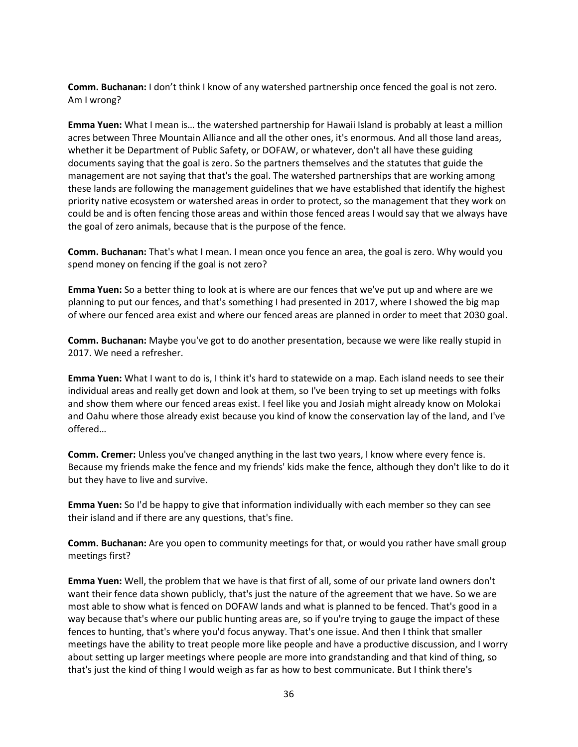**Comm. Buchanan:** I don't think I know of any watershed partnership once fenced the goal is not zero. Am I wrong?

**Emma Yuen:** What I mean is… the watershed partnership for Hawaii Island is probably at least a million acres between Three Mountain Alliance and all the other ones, it's enormous. And all those land areas, whether it be Department of Public Safety, or DOFAW, or whatever, don't all have these guiding documents saying that the goal is zero. So the partners themselves and the statutes that guide the management are not saying that that's the goal. The watershed partnerships that are working among these lands are following the management guidelines that we have established that identify the highest priority native ecosystem or watershed areas in order to protect, so the management that they work on could be and is often fencing those areas and within those fenced areas I would say that we always have the goal of zero animals, because that is the purpose of the fence.

**Comm. Buchanan:** That's what I mean. I mean once you fence an area, the goal is zero. Why would you spend money on fencing if the goal is not zero?

**Emma Yuen:** So a better thing to look at is where are our fences that we've put up and where are we planning to put our fences, and that's something I had presented in 2017, where I showed the big map of where our fenced area exist and where our fenced areas are planned in order to meet that 2030 goal.

**Comm. Buchanan:** Maybe you've got to do another presentation, because we were like really stupid in 2017. We need a refresher.

**Emma Yuen:** What I want to do is, I think it's hard to statewide on a map. Each island needs to see their individual areas and really get down and look at them, so I've been trying to set up meetings with folks and show them where our fenced areas exist. I feel like you and Josiah might already know on Molokai and Oahu where those already exist because you kind of know the conservation lay of the land, and I've offered…

**Comm. Cremer:** Unless you've changed anything in the last two years, I know where every fence is. Because my friends make the fence and my friends' kids make the fence, although they don't like to do it but they have to live and survive.

**Emma Yuen:** So I'd be happy to give that information individually with each member so they can see their island and if there are any questions, that's fine.

**Comm. Buchanan:** Are you open to community meetings for that, or would you rather have small group meetings first?

**Emma Yuen:** Well, the problem that we have is that first of all, some of our private land owners don't want their fence data shown publicly, that's just the nature of the agreement that we have. So we are most able to show what is fenced on DOFAW lands and what is planned to be fenced. That's good in a way because that's where our public hunting areas are, so if you're trying to gauge the impact of these fences to hunting, that's where you'd focus anyway. That's one issue. And then I think that smaller meetings have the ability to treat people more like people and have a productive discussion, and I worry about setting up larger meetings where people are more into grandstanding and that kind of thing, so that's just the kind of thing I would weigh as far as how to best communicate. But I think there's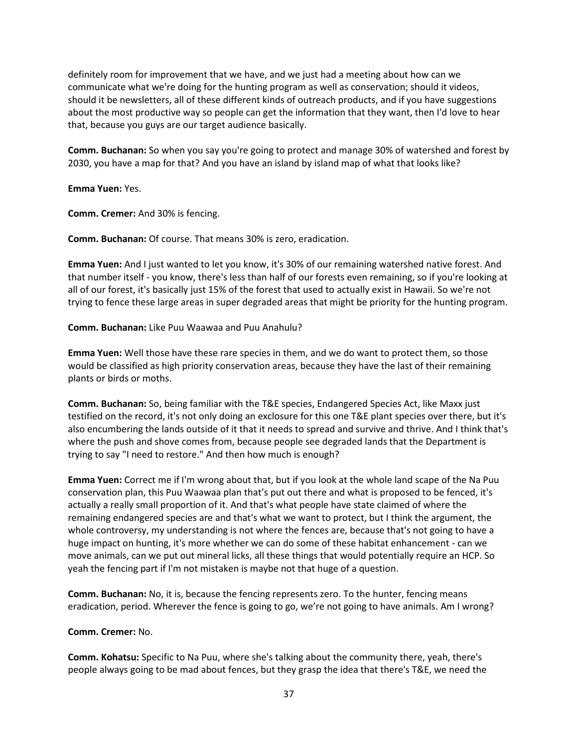definitely room for improvement that we have, and we just had a meeting about how can we communicate what we're doing for the hunting program as well as conservation; should it videos, should it be newsletters, all of these different kinds of outreach products, and if you have suggestions about the most productive way so people can get the information that they want, then I'd love to hear that, because you guys are our target audience basically.

**Comm. Buchanan:** So when you say you're going to protect and manage 30% of watershed and forest by 2030, you have a map for that? And you have an island by island map of what that looks like?

**Emma Yuen:** Yes.

**Comm. Cremer:** And 30% is fencing.

**Comm. Buchanan:** Of course. That means 30% is zero, eradication.

**Emma Yuen:** And I just wanted to let you know, it's 30% of our remaining watershed native forest. And that number itself - you know, there's less than half of our forests even remaining, so if you're looking at all of our forest, it's basically just 15% of the forest that used to actually exist in Hawaii. So we're not trying to fence these large areas in super degraded areas that might be priority for the hunting program.

**Comm. Buchanan:** Like Puu Waawaa and Puu Anahulu?

**Emma Yuen:** Well those have these rare species in them, and we do want to protect them, so those would be classified as high priority conservation areas, because they have the last of their remaining plants or birds or moths.

**Comm. Buchanan:** So, being familiar with the T&E species, Endangered Species Act, like Maxx just testified on the record, it's not only doing an exclosure for this one T&E plant species over there, but it's also encumbering the lands outside of it that it needs to spread and survive and thrive. And I think that's where the push and shove comes from, because people see degraded lands that the Department is trying to say "I need to restore." And then how much is enough?

**Emma Yuen:** Correct me if I'm wrong about that, but if you look at the whole land scape of the Na Puu conservation plan, this Puu Waawaa plan that's put out there and what is proposed to be fenced, it's actually a really small proportion of it. And that's what people have state claimed of where the remaining endangered species are and that's what we want to protect, but I think the argument, the whole controversy, my understanding is not where the fences are, because that's not going to have a huge impact on hunting, it's more whether we can do some of these habitat enhancement - can we move animals, can we put out mineral licks, all these things that would potentially require an HCP. So yeah the fencing part if I'm not mistaken is maybe not that huge of a question.

**Comm. Buchanan:** No, it is, because the fencing represents zero. To the hunter, fencing means eradication, period. Wherever the fence is going to go, we're not going to have animals. Am I wrong?

## **Comm. Cremer:** No.

**Comm. Kohatsu:** Specific to Na Puu, where she's talking about the community there, yeah, there's people always going to be mad about fences, but they grasp the idea that there's T&E, we need the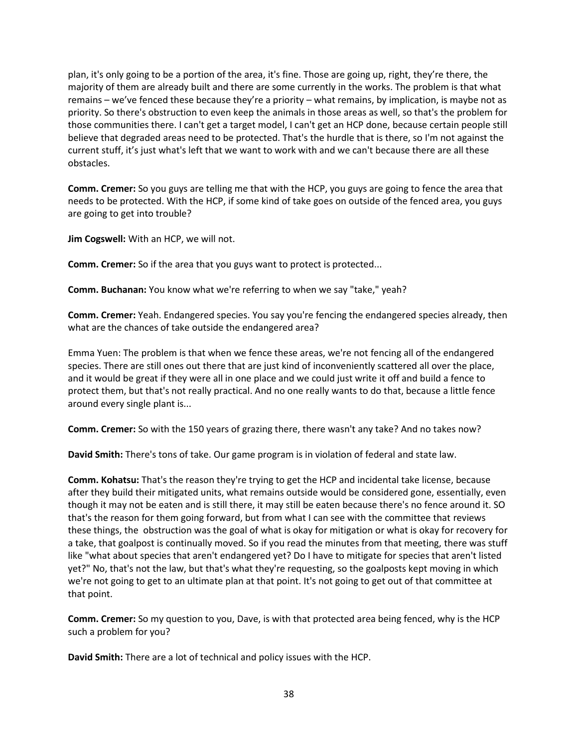plan, it's only going to be a portion of the area, it's fine. Those are going up, right, they're there, the majority of them are already built and there are some currently in the works. The problem is that what remains – we've fenced these because they're a priority – what remains, by implication, is maybe not as priority. So there's obstruction to even keep the animals in those areas as well, so that's the problem for those communities there. I can't get a target model, I can't get an HCP done, because certain people still believe that degraded areas need to be protected. That's the hurdle that is there, so I'm not against the current stuff, it's just what's left that we want to work with and we can't because there are all these obstacles.

**Comm. Cremer:** So you guys are telling me that with the HCP, you guys are going to fence the area that needs to be protected. With the HCP, if some kind of take goes on outside of the fenced area, you guys are going to get into trouble?

**Jim Cogswell:** With an HCP, we will not.

**Comm. Cremer:** So if the area that you guys want to protect is protected...

**Comm. Buchanan:** You know what we're referring to when we say "take," yeah?

**Comm. Cremer:** Yeah. Endangered species. You say you're fencing the endangered species already, then what are the chances of take outside the endangered area?

Emma Yuen: The problem is that when we fence these areas, we're not fencing all of the endangered species. There are still ones out there that are just kind of inconveniently scattered all over the place, and it would be great if they were all in one place and we could just write it off and build a fence to protect them, but that's not really practical. And no one really wants to do that, because a little fence around every single plant is...

**Comm. Cremer:** So with the 150 years of grazing there, there wasn't any take? And no takes now?

**David Smith:** There's tons of take. Our game program is in violation of federal and state law.

**Comm. Kohatsu:** That's the reason they're trying to get the HCP and incidental take license, because after they build their mitigated units, what remains outside would be considered gone, essentially, even though it may not be eaten and is still there, it may still be eaten because there's no fence around it. SO that's the reason for them going forward, but from what I can see with the committee that reviews these things, the obstruction was the goal of what is okay for mitigation or what is okay for recovery for a take, that goalpost is continually moved. So if you read the minutes from that meeting, there was stuff like "what about species that aren't endangered yet? Do I have to mitigate for species that aren't listed yet?" No, that's not the law, but that's what they're requesting, so the goalposts kept moving in which we're not going to get to an ultimate plan at that point. It's not going to get out of that committee at that point.

**Comm. Cremer:** So my question to you, Dave, is with that protected area being fenced, why is the HCP such a problem for you?

**David Smith:** There are a lot of technical and policy issues with the HCP.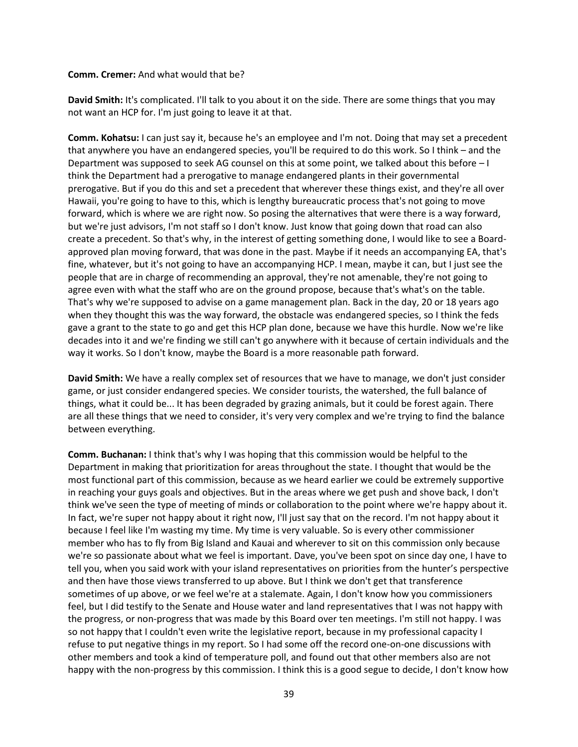#### **Comm. Cremer:** And what would that be?

**David Smith:** It's complicated. I'll talk to you about it on the side. There are some things that you may not want an HCP for. I'm just going to leave it at that.

**Comm. Kohatsu:** I can just say it, because he's an employee and I'm not. Doing that may set a precedent that anywhere you have an endangered species, you'll be required to do this work. So I think – and the Department was supposed to seek AG counsel on this at some point, we talked about this before – I think the Department had a prerogative to manage endangered plants in their governmental prerogative. But if you do this and set a precedent that wherever these things exist, and they're all over Hawaii, you're going to have to this, which is lengthy bureaucratic process that's not going to move forward, which is where we are right now. So posing the alternatives that were there is a way forward, but we're just advisors, I'm not staff so I don't know. Just know that going down that road can also create a precedent. So that's why, in the interest of getting something done, I would like to see a Boardapproved plan moving forward, that was done in the past. Maybe if it needs an accompanying EA, that's fine, whatever, but it's not going to have an accompanying HCP. I mean, maybe it can, but I just see the people that are in charge of recommending an approval, they're not amenable, they're not going to agree even with what the staff who are on the ground propose, because that's what's on the table. That's why we're supposed to advise on a game management plan. Back in the day, 20 or 18 years ago when they thought this was the way forward, the obstacle was endangered species, so I think the feds gave a grant to the state to go and get this HCP plan done, because we have this hurdle. Now we're like decades into it and we're finding we still can't go anywhere with it because of certain individuals and the way it works. So I don't know, maybe the Board is a more reasonable path forward.

**David Smith:** We have a really complex set of resources that we have to manage, we don't just consider game, or just consider endangered species. We consider tourists, the watershed, the full balance of things, what it could be... It has been degraded by grazing animals, but it could be forest again. There are all these things that we need to consider, it's very very complex and we're trying to find the balance between everything.

**Comm. Buchanan:** I think that's why I was hoping that this commission would be helpful to the Department in making that prioritization for areas throughout the state. I thought that would be the most functional part of this commission, because as we heard earlier we could be extremely supportive in reaching your guys goals and objectives. But in the areas where we get push and shove back, I don't think we've seen the type of meeting of minds or collaboration to the point where we're happy about it. In fact, we're super not happy about it right now, I'll just say that on the record. I'm not happy about it because I feel like I'm wasting my time. My time is very valuable. So is every other commissioner member who has to fly from Big Island and Kauai and wherever to sit on this commission only because we're so passionate about what we feel is important. Dave, you've been spot on since day one, I have to tell you, when you said work with your island representatives on priorities from the hunter's perspective and then have those views transferred to up above. But I think we don't get that transference sometimes of up above, or we feel we're at a stalemate. Again, I don't know how you commissioners feel, but I did testify to the Senate and House water and land representatives that I was not happy with the progress, or non-progress that was made by this Board over ten meetings. I'm still not happy. I was so not happy that I couldn't even write the legislative report, because in my professional capacity I refuse to put negative things in my report. So I had some off the record one-on-one discussions with other members and took a kind of temperature poll, and found out that other members also are not happy with the non-progress by this commission. I think this is a good segue to decide, I don't know how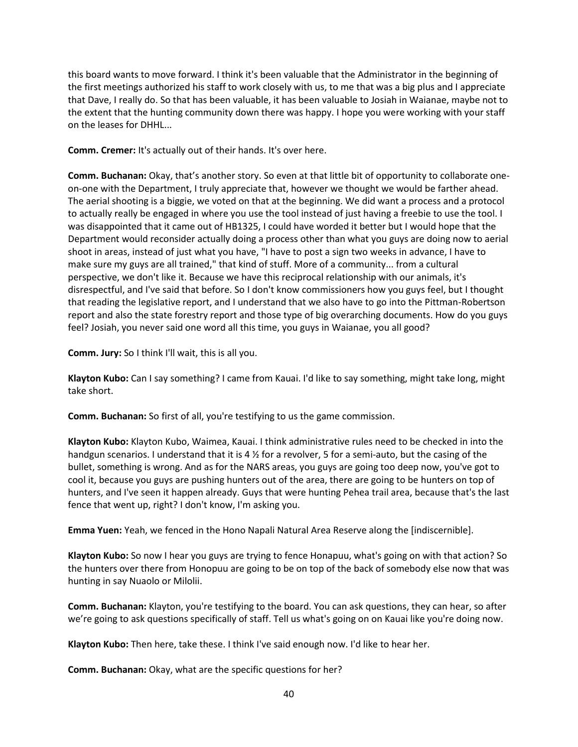this board wants to move forward. I think it's been valuable that the Administrator in the beginning of the first meetings authorized his staff to work closely with us, to me that was a big plus and I appreciate that Dave, I really do. So that has been valuable, it has been valuable to Josiah in Waianae, maybe not to the extent that the hunting community down there was happy. I hope you were working with your staff on the leases for DHHL...

**Comm. Cremer:** It's actually out of their hands. It's over here.

**Comm. Buchanan:** Okay, that's another story. So even at that little bit of opportunity to collaborate oneon-one with the Department, I truly appreciate that, however we thought we would be farther ahead. The aerial shooting is a biggie, we voted on that at the beginning. We did want a process and a protocol to actually really be engaged in where you use the tool instead of just having a freebie to use the tool. I was disappointed that it came out of HB1325, I could have worded it better but I would hope that the Department would reconsider actually doing a process other than what you guys are doing now to aerial shoot in areas, instead of just what you have, "I have to post a sign two weeks in advance, I have to make sure my guys are all trained," that kind of stuff. More of a community... from a cultural perspective, we don't like it. Because we have this reciprocal relationship with our animals, it's disrespectful, and I've said that before. So I don't know commissioners how you guys feel, but I thought that reading the legislative report, and I understand that we also have to go into the Pittman-Robertson report and also the state forestry report and those type of big overarching documents. How do you guys feel? Josiah, you never said one word all this time, you guys in Waianae, you all good?

**Comm. Jury:** So I think I'll wait, this is all you.

**Klayton Kubo:** Can I say something? I came from Kauai. I'd like to say something, might take long, might take short.

**Comm. Buchanan:** So first of all, you're testifying to us the game commission.

**Klayton Kubo:** Klayton Kubo, Waimea, Kauai. I think administrative rules need to be checked in into the handgun scenarios. I understand that it is 4 % for a revolver, 5 for a semi-auto, but the casing of the bullet, something is wrong. And as for the NARS areas, you guys are going too deep now, you've got to cool it, because you guys are pushing hunters out of the area, there are going to be hunters on top of hunters, and I've seen it happen already. Guys that were hunting Pehea trail area, because that's the last fence that went up, right? I don't know, I'm asking you.

**Emma Yuen:** Yeah, we fenced in the Hono Napali Natural Area Reserve along the [indiscernible].

**Klayton Kubo:** So now I hear you guys are trying to fence Honapuu, what's going on with that action? So the hunters over there from Honopuu are going to be on top of the back of somebody else now that was hunting in say Nuaolo or Milolii.

**Comm. Buchanan:** Klayton, you're testifying to the board. You can ask questions, they can hear, so after we're going to ask questions specifically of staff. Tell us what's going on on Kauai like you're doing now.

**Klayton Kubo:** Then here, take these. I think I've said enough now. I'd like to hear her.

**Comm. Buchanan:** Okay, what are the specific questions for her?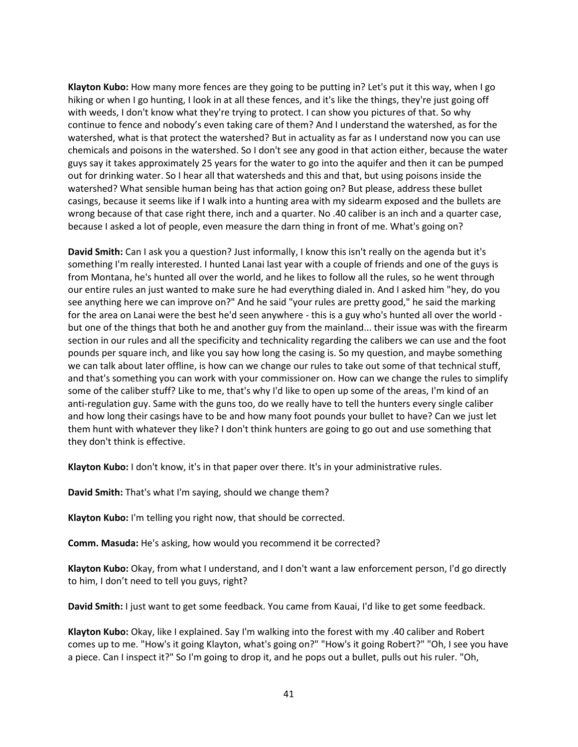**Klayton Kubo:** How many more fences are they going to be putting in? Let's put it this way, when I go hiking or when I go hunting, I look in at all these fences, and it's like the things, they're just going off with weeds, I don't know what they're trying to protect. I can show you pictures of that. So why continue to fence and nobody's even taking care of them? And I understand the watershed, as for the watershed, what is that protect the watershed? But in actuality as far as I understand now you can use chemicals and poisons in the watershed. So I don't see any good in that action either, because the water guys say it takes approximately 25 years for the water to go into the aquifer and then it can be pumped out for drinking water. So I hear all that watersheds and this and that, but using poisons inside the watershed? What sensible human being has that action going on? But please, address these bullet casings, because it seems like if I walk into a hunting area with my sidearm exposed and the bullets are wrong because of that case right there, inch and a quarter. No .40 caliber is an inch and a quarter case, because I asked a lot of people, even measure the darn thing in front of me. What's going on?

**David Smith:** Can I ask you a question? Just informally, I know this isn't really on the agenda but it's something I'm really interested. I hunted Lanai last year with a couple of friends and one of the guys is from Montana, he's hunted all over the world, and he likes to follow all the rules, so he went through our entire rules an just wanted to make sure he had everything dialed in. And I asked him "hey, do you see anything here we can improve on?" And he said "your rules are pretty good," he said the marking for the area on Lanai were the best he'd seen anywhere - this is a guy who's hunted all over the world but one of the things that both he and another guy from the mainland... their issue was with the firearm section in our rules and all the specificity and technicality regarding the calibers we can use and the foot pounds per square inch, and like you say how long the casing is. So my question, and maybe something we can talk about later offline, is how can we change our rules to take out some of that technical stuff, and that's something you can work with your commissioner on. How can we change the rules to simplify some of the caliber stuff? Like to me, that's why I'd like to open up some of the areas, I'm kind of an anti-regulation guy. Same with the guns too, do we really have to tell the hunters every single caliber and how long their casings have to be and how many foot pounds your bullet to have? Can we just let them hunt with whatever they like? I don't think hunters are going to go out and use something that they don't think is effective.

**Klayton Kubo:** I don't know, it's in that paper over there. It's in your administrative rules.

**David Smith:** That's what I'm saying, should we change them?

**Klayton Kubo:** I'm telling you right now, that should be corrected.

**Comm. Masuda:** He's asking, how would you recommend it be corrected?

**Klayton Kubo:** Okay, from what I understand, and I don't want a law enforcement person, I'd go directly to him, I don't need to tell you guys, right?

**David Smith:** I just want to get some feedback. You came from Kauai, I'd like to get some feedback.

**Klayton Kubo:** Okay, like I explained. Say I'm walking into the forest with my .40 caliber and Robert comes up to me. "How's it going Klayton, what's going on?" "How's it going Robert?" "Oh, I see you have a piece. Can I inspect it?" So I'm going to drop it, and he pops out a bullet, pulls out his ruler. "Oh,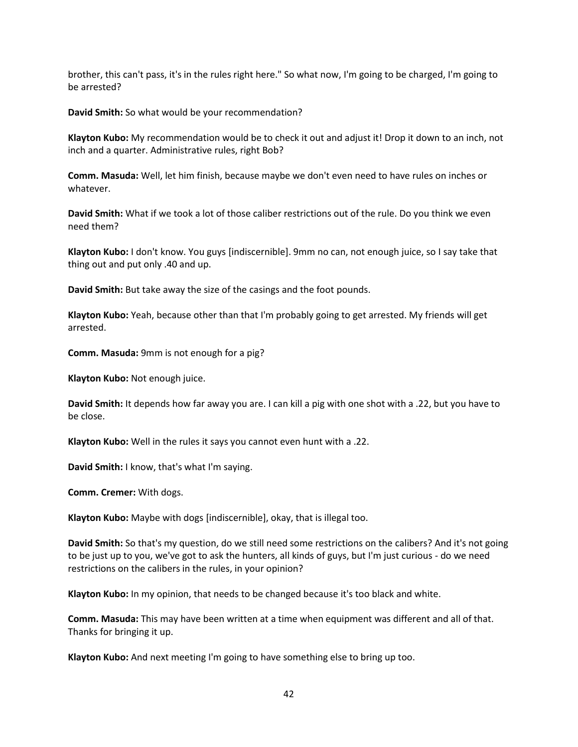brother, this can't pass, it's in the rules right here." So what now, I'm going to be charged, I'm going to be arrested?

**David Smith:** So what would be your recommendation?

**Klayton Kubo:** My recommendation would be to check it out and adjust it! Drop it down to an inch, not inch and a quarter. Administrative rules, right Bob?

**Comm. Masuda:** Well, let him finish, because maybe we don't even need to have rules on inches or whatever.

**David Smith:** What if we took a lot of those caliber restrictions out of the rule. Do you think we even need them?

**Klayton Kubo:** I don't know. You guys [indiscernible]. 9mm no can, not enough juice, so I say take that thing out and put only .40 and up.

**David Smith:** But take away the size of the casings and the foot pounds.

**Klayton Kubo:** Yeah, because other than that I'm probably going to get arrested. My friends will get arrested.

**Comm. Masuda:** 9mm is not enough for a pig?

**Klayton Kubo:** Not enough juice.

**David Smith:** It depends how far away you are. I can kill a pig with one shot with a .22, but you have to be close.

**Klayton Kubo:** Well in the rules it says you cannot even hunt with a .22.

**David Smith:** I know, that's what I'm saying.

**Comm. Cremer:** With dogs.

**Klayton Kubo:** Maybe with dogs [indiscernible], okay, that is illegal too.

**David Smith:** So that's my question, do we still need some restrictions on the calibers? And it's not going to be just up to you, we've got to ask the hunters, all kinds of guys, but I'm just curious - do we need restrictions on the calibers in the rules, in your opinion?

**Klayton Kubo:** In my opinion, that needs to be changed because it's too black and white.

**Comm. Masuda:** This may have been written at a time when equipment was different and all of that. Thanks for bringing it up.

**Klayton Kubo:** And next meeting I'm going to have something else to bring up too.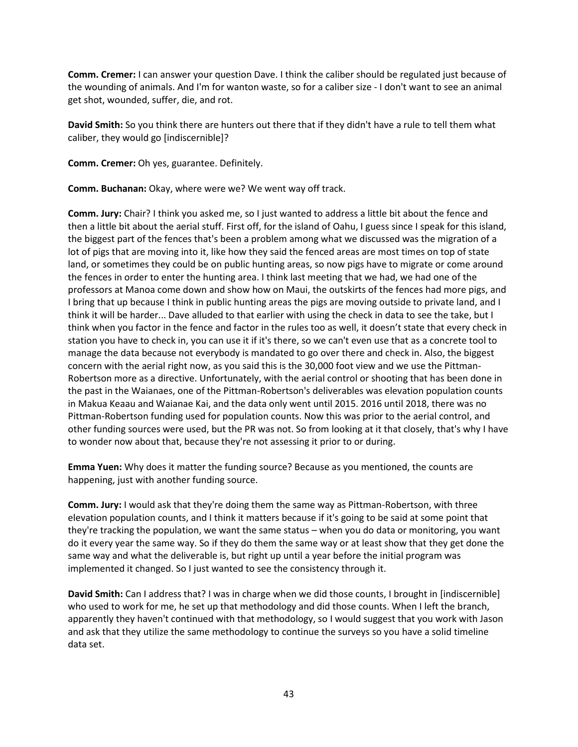**Comm. Cremer:** I can answer your question Dave. I think the caliber should be regulated just because of the wounding of animals. And I'm for wanton waste, so for a caliber size - I don't want to see an animal get shot, wounded, suffer, die, and rot.

**David Smith:** So you think there are hunters out there that if they didn't have a rule to tell them what caliber, they would go [indiscernible]?

**Comm. Cremer:** Oh yes, guarantee. Definitely.

**Comm. Buchanan:** Okay, where were we? We went way off track.

**Comm. Jury:** Chair? I think you asked me, so I just wanted to address a little bit about the fence and then a little bit about the aerial stuff. First off, for the island of Oahu, I guess since I speak for this island, the biggest part of the fences that's been a problem among what we discussed was the migration of a lot of pigs that are moving into it, like how they said the fenced areas are most times on top of state land, or sometimes they could be on public hunting areas, so now pigs have to migrate or come around the fences in order to enter the hunting area. I think last meeting that we had, we had one of the professors at Manoa come down and show how on Maui, the outskirts of the fences had more pigs, and I bring that up because I think in public hunting areas the pigs are moving outside to private land, and I think it will be harder... Dave alluded to that earlier with using the check in data to see the take, but I think when you factor in the fence and factor in the rules too as well, it doesn't state that every check in station you have to check in, you can use it if it's there, so we can't even use that as a concrete tool to manage the data because not everybody is mandated to go over there and check in. Also, the biggest concern with the aerial right now, as you said this is the 30,000 foot view and we use the Pittman-Robertson more as a directive. Unfortunately, with the aerial control or shooting that has been done in the past in the Waianaes, one of the Pittman-Robertson's deliverables was elevation population counts in Makua Keaau and Waianae Kai, and the data only went until 2015. 2016 until 2018, there was no Pittman-Robertson funding used for population counts. Now this was prior to the aerial control, and other funding sources were used, but the PR was not. So from looking at it that closely, that's why I have to wonder now about that, because they're not assessing it prior to or during.

**Emma Yuen:** Why does it matter the funding source? Because as you mentioned, the counts are happening, just with another funding source.

**Comm. Jury:** I would ask that they're doing them the same way as Pittman-Robertson, with three elevation population counts, and I think it matters because if it's going to be said at some point that they're tracking the population, we want the same status – when you do data or monitoring, you want do it every year the same way. So if they do them the same way or at least show that they get done the same way and what the deliverable is, but right up until a year before the initial program was implemented it changed. So I just wanted to see the consistency through it.

**David Smith:** Can I address that? I was in charge when we did those counts, I brought in [indiscernible] who used to work for me, he set up that methodology and did those counts. When I left the branch, apparently they haven't continued with that methodology, so I would suggest that you work with Jason and ask that they utilize the same methodology to continue the surveys so you have a solid timeline data set.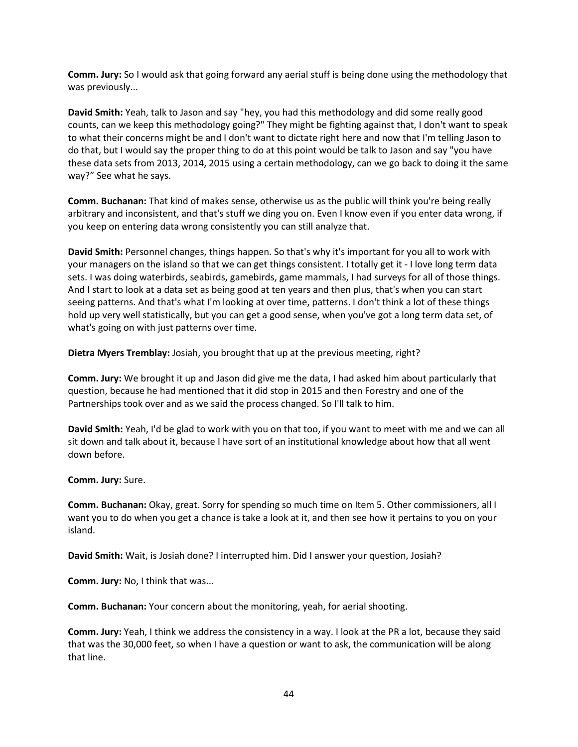**Comm. Jury:** So I would ask that going forward any aerial stuff is being done using the methodology that was previously...

**David Smith:** Yeah, talk to Jason and say "hey, you had this methodology and did some really good counts, can we keep this methodology going?" They might be fighting against that, I don't want to speak to what their concerns might be and I don't want to dictate right here and now that I'm telling Jason to do that, but I would say the proper thing to do at this point would be talk to Jason and say "you have these data sets from 2013, 2014, 2015 using a certain methodology, can we go back to doing it the same way?" See what he says.

**Comm. Buchanan:** That kind of makes sense, otherwise us as the public will think you're being really arbitrary and inconsistent, and that's stuff we ding you on. Even I know even if you enter data wrong, if you keep on entering data wrong consistently you can still analyze that.

**David Smith:** Personnel changes, things happen. So that's why it's important for you all to work with your managers on the island so that we can get things consistent. I totally get it - I love long term data sets. I was doing waterbirds, seabirds, gamebirds, game mammals, I had surveys for all of those things. And I start to look at a data set as being good at ten years and then plus, that's when you can start seeing patterns. And that's what I'm looking at over time, patterns. I don't think a lot of these things hold up very well statistically, but you can get a good sense, when you've got a long term data set, of what's going on with just patterns over time.

**Dietra Myers Tremblay:** Josiah, you brought that up at the previous meeting, right?

**Comm. Jury:** We brought it up and Jason did give me the data, I had asked him about particularly that question, because he had mentioned that it did stop in 2015 and then Forestry and one of the Partnerships took over and as we said the process changed. So I'll talk to him.

**David Smith:** Yeah, I'd be glad to work with you on that too, if you want to meet with me and we can all sit down and talk about it, because I have sort of an institutional knowledge about how that all went down before.

**Comm. Jury:** Sure.

**Comm. Buchanan:** Okay, great. Sorry for spending so much time on Item 5. Other commissioners, all I want you to do when you get a chance is take a look at it, and then see how it pertains to you on your island.

**David Smith:** Wait, is Josiah done? I interrupted him. Did I answer your question, Josiah?

**Comm. Jury:** No, I think that was...

**Comm. Buchanan:** Your concern about the monitoring, yeah, for aerial shooting.

**Comm. Jury:** Yeah, I think we address the consistency in a way. I look at the PR a lot, because they said that was the 30,000 feet, so when I have a question or want to ask, the communication will be along that line.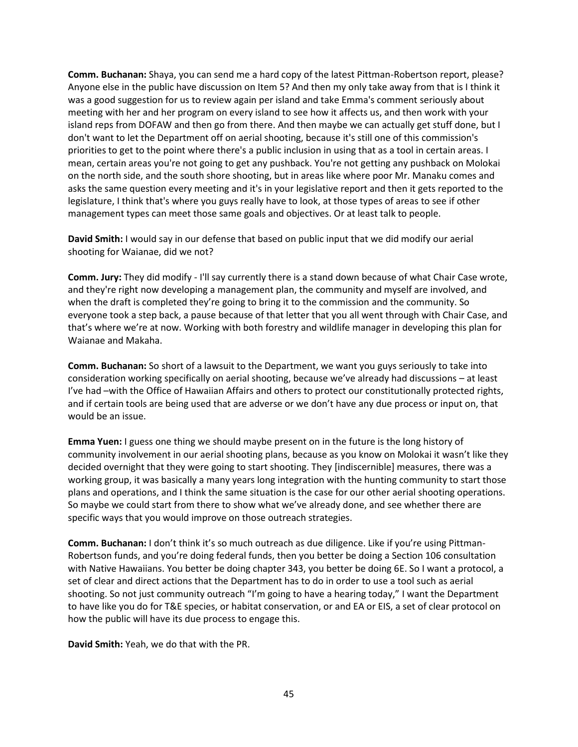**Comm. Buchanan:** Shaya, you can send me a hard copy of the latest Pittman-Robertson report, please? Anyone else in the public have discussion on Item 5? And then my only take away from that is I think it was a good suggestion for us to review again per island and take Emma's comment seriously about meeting with her and her program on every island to see how it affects us, and then work with your island reps from DOFAW and then go from there. And then maybe we can actually get stuff done, but I don't want to let the Department off on aerial shooting, because it's still one of this commission's priorities to get to the point where there's a public inclusion in using that as a tool in certain areas. I mean, certain areas you're not going to get any pushback. You're not getting any pushback on Molokai on the north side, and the south shore shooting, but in areas like where poor Mr. Manaku comes and asks the same question every meeting and it's in your legislative report and then it gets reported to the legislature, I think that's where you guys really have to look, at those types of areas to see if other management types can meet those same goals and objectives. Or at least talk to people.

**David Smith:** I would say in our defense that based on public input that we did modify our aerial shooting for Waianae, did we not?

**Comm. Jury:** They did modify - I'll say currently there is a stand down because of what Chair Case wrote, and they're right now developing a management plan, the community and myself are involved, and when the draft is completed they're going to bring it to the commission and the community. So everyone took a step back, a pause because of that letter that you all went through with Chair Case, and that's where we're at now. Working with both forestry and wildlife manager in developing this plan for Waianae and Makaha.

**Comm. Buchanan:** So short of a lawsuit to the Department, we want you guys seriously to take into consideration working specifically on aerial shooting, because we've already had discussions – at least I've had –with the Office of Hawaiian Affairs and others to protect our constitutionally protected rights, and if certain tools are being used that are adverse or we don't have any due process or input on, that would be an issue.

**Emma Yuen:** I guess one thing we should maybe present on in the future is the long history of community involvement in our aerial shooting plans, because as you know on Molokai it wasn't like they decided overnight that they were going to start shooting. They [indiscernible] measures, there was a working group, it was basically a many years long integration with the hunting community to start those plans and operations, and I think the same situation is the case for our other aerial shooting operations. So maybe we could start from there to show what we've already done, and see whether there are specific ways that you would improve on those outreach strategies.

**Comm. Buchanan:** I don't think it's so much outreach as due diligence. Like if you're using Pittman-Robertson funds, and you're doing federal funds, then you better be doing a Section 106 consultation with Native Hawaiians. You better be doing chapter 343, you better be doing 6E. So I want a protocol, a set of clear and direct actions that the Department has to do in order to use a tool such as aerial shooting. So not just community outreach "I'm going to have a hearing today," I want the Department to have like you do for T&E species, or habitat conservation, or and EA or EIS, a set of clear protocol on how the public will have its due process to engage this.

**David Smith:** Yeah, we do that with the PR.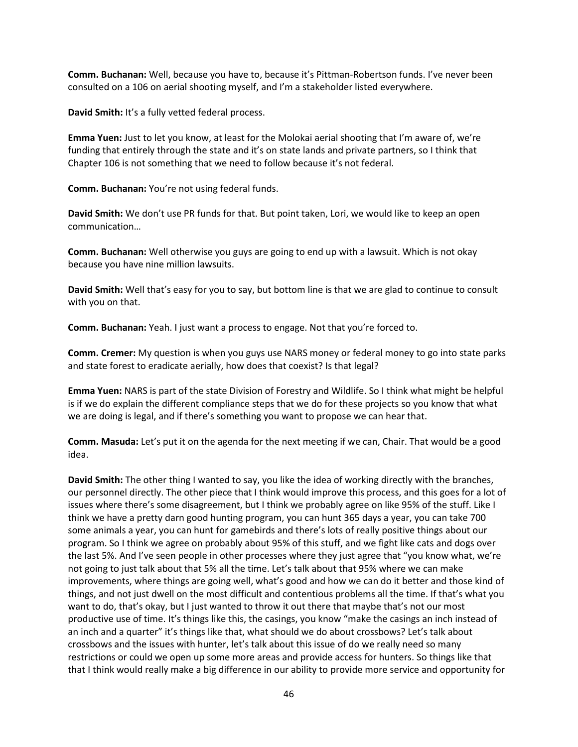**Comm. Buchanan:** Well, because you have to, because it's Pittman-Robertson funds. I've never been consulted on a 106 on aerial shooting myself, and I'm a stakeholder listed everywhere.

**David Smith:** It's a fully vetted federal process.

**Emma Yuen:** Just to let you know, at least for the Molokai aerial shooting that I'm aware of, we're funding that entirely through the state and it's on state lands and private partners, so I think that Chapter 106 is not something that we need to follow because it's not federal.

**Comm. Buchanan:** You're not using federal funds.

**David Smith:** We don't use PR funds for that. But point taken, Lori, we would like to keep an open communication…

**Comm. Buchanan:** Well otherwise you guys are going to end up with a lawsuit. Which is not okay because you have nine million lawsuits.

**David Smith:** Well that's easy for you to say, but bottom line is that we are glad to continue to consult with you on that.

**Comm. Buchanan:** Yeah. I just want a process to engage. Not that you're forced to.

**Comm. Cremer:** My question is when you guys use NARS money or federal money to go into state parks and state forest to eradicate aerially, how does that coexist? Is that legal?

**Emma Yuen:** NARS is part of the state Division of Forestry and Wildlife. So I think what might be helpful is if we do explain the different compliance steps that we do for these projects so you know that what we are doing is legal, and if there's something you want to propose we can hear that.

**Comm. Masuda:** Let's put it on the agenda for the next meeting if we can, Chair. That would be a good idea.

**David Smith:** The other thing I wanted to say, you like the idea of working directly with the branches, our personnel directly. The other piece that I think would improve this process, and this goes for a lot of issues where there's some disagreement, but I think we probably agree on like 95% of the stuff. Like I think we have a pretty darn good hunting program, you can hunt 365 days a year, you can take 700 some animals a year, you can hunt for gamebirds and there's lots of really positive things about our program. So I think we agree on probably about 95% of this stuff, and we fight like cats and dogs over the last 5%. And I've seen people in other processes where they just agree that "you know what, we're not going to just talk about that 5% all the time. Let's talk about that 95% where we can make improvements, where things are going well, what's good and how we can do it better and those kind of things, and not just dwell on the most difficult and contentious problems all the time. If that's what you want to do, that's okay, but I just wanted to throw it out there that maybe that's not our most productive use of time. It's things like this, the casings, you know "make the casings an inch instead of an inch and a quarter" it's things like that, what should we do about crossbows? Let's talk about crossbows and the issues with hunter, let's talk about this issue of do we really need so many restrictions or could we open up some more areas and provide access for hunters. So things like that that I think would really make a big difference in our ability to provide more service and opportunity for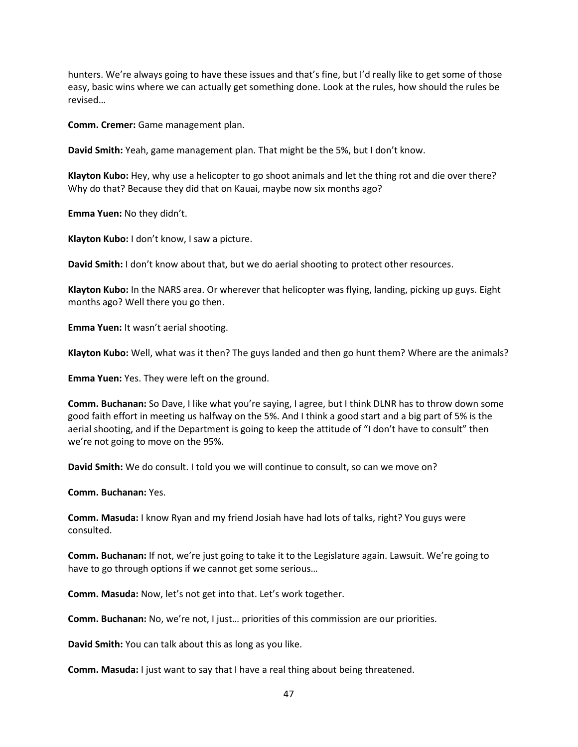hunters. We're always going to have these issues and that's fine, but I'd really like to get some of those easy, basic wins where we can actually get something done. Look at the rules, how should the rules be revised…

**Comm. Cremer:** Game management plan.

**David Smith:** Yeah, game management plan. That might be the 5%, but I don't know.

**Klayton Kubo:** Hey, why use a helicopter to go shoot animals and let the thing rot and die over there? Why do that? Because they did that on Kauai, maybe now six months ago?

**Emma Yuen:** No they didn't.

**Klayton Kubo:** I don't know, I saw a picture.

**David Smith:** I don't know about that, but we do aerial shooting to protect other resources.

**Klayton Kubo:** In the NARS area. Or wherever that helicopter was flying, landing, picking up guys. Eight months ago? Well there you go then.

**Emma Yuen:** It wasn't aerial shooting.

**Klayton Kubo:** Well, what was it then? The guys landed and then go hunt them? Where are the animals?

**Emma Yuen:** Yes. They were left on the ground.

**Comm. Buchanan:** So Dave, I like what you're saying, I agree, but I think DLNR has to throw down some good faith effort in meeting us halfway on the 5%. And I think a good start and a big part of 5% is the aerial shooting, and if the Department is going to keep the attitude of "I don't have to consult" then we're not going to move on the 95%.

**David Smith:** We do consult. I told you we will continue to consult, so can we move on?

**Comm. Buchanan:** Yes.

**Comm. Masuda:** I know Ryan and my friend Josiah have had lots of talks, right? You guys were consulted.

**Comm. Buchanan:** If not, we're just going to take it to the Legislature again. Lawsuit. We're going to have to go through options if we cannot get some serious…

**Comm. Masuda:** Now, let's not get into that. Let's work together.

**Comm. Buchanan:** No, we're not, I just… priorities of this commission are our priorities.

**David Smith:** You can talk about this as long as you like.

**Comm. Masuda:** I just want to say that I have a real thing about being threatened.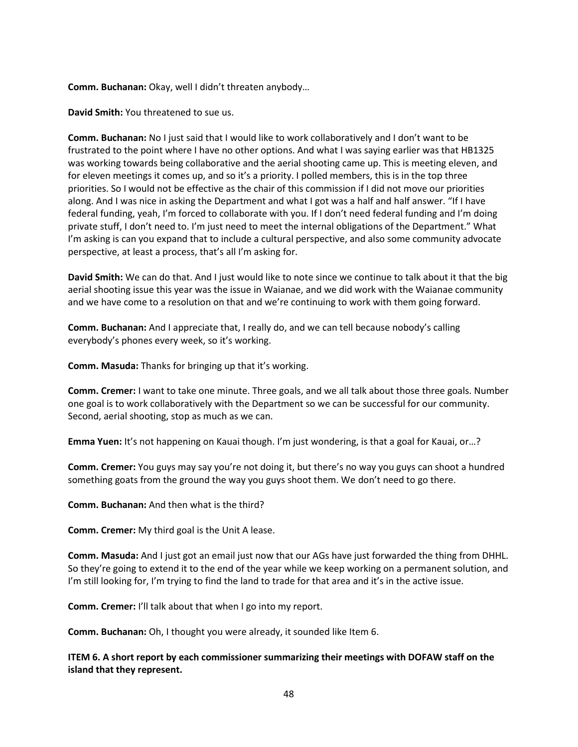**Comm. Buchanan:** Okay, well I didn't threaten anybody…

**David Smith:** You threatened to sue us.

**Comm. Buchanan:** No I just said that I would like to work collaboratively and I don't want to be frustrated to the point where I have no other options. And what I was saying earlier was that HB1325 was working towards being collaborative and the aerial shooting came up. This is meeting eleven, and for eleven meetings it comes up, and so it's a priority. I polled members, this is in the top three priorities. So I would not be effective as the chair of this commission if I did not move our priorities along. And I was nice in asking the Department and what I got was a half and half answer. "If I have federal funding, yeah, I'm forced to collaborate with you. If I don't need federal funding and I'm doing private stuff, I don't need to. I'm just need to meet the internal obligations of the Department." What I'm asking is can you expand that to include a cultural perspective, and also some community advocate perspective, at least a process, that's all I'm asking for.

**David Smith:** We can do that. And I just would like to note since we continue to talk about it that the big aerial shooting issue this year was the issue in Waianae, and we did work with the Waianae community and we have come to a resolution on that and we're continuing to work with them going forward.

**Comm. Buchanan:** And I appreciate that, I really do, and we can tell because nobody's calling everybody's phones every week, so it's working.

**Comm. Masuda:** Thanks for bringing up that it's working.

**Comm. Cremer:** I want to take one minute. Three goals, and we all talk about those three goals. Number one goal is to work collaboratively with the Department so we can be successful for our community. Second, aerial shooting, stop as much as we can.

**Emma Yuen:** It's not happening on Kauai though. I'm just wondering, is that a goal for Kauai, or…?

**Comm. Cremer:** You guys may say you're not doing it, but there's no way you guys can shoot a hundred something goats from the ground the way you guys shoot them. We don't need to go there.

**Comm. Buchanan:** And then what is the third?

**Comm. Cremer:** My third goal is the Unit A lease.

**Comm. Masuda:** And I just got an email just now that our AGs have just forwarded the thing from DHHL. So they're going to extend it to the end of the year while we keep working on a permanent solution, and I'm still looking for, I'm trying to find the land to trade for that area and it's in the active issue.

**Comm. Cremer:** I'll talk about that when I go into my report.

**Comm. Buchanan:** Oh, I thought you were already, it sounded like Item 6.

**ITEM 6. A short report by each commissioner summarizing their meetings with DOFAW staff on the island that they represent.**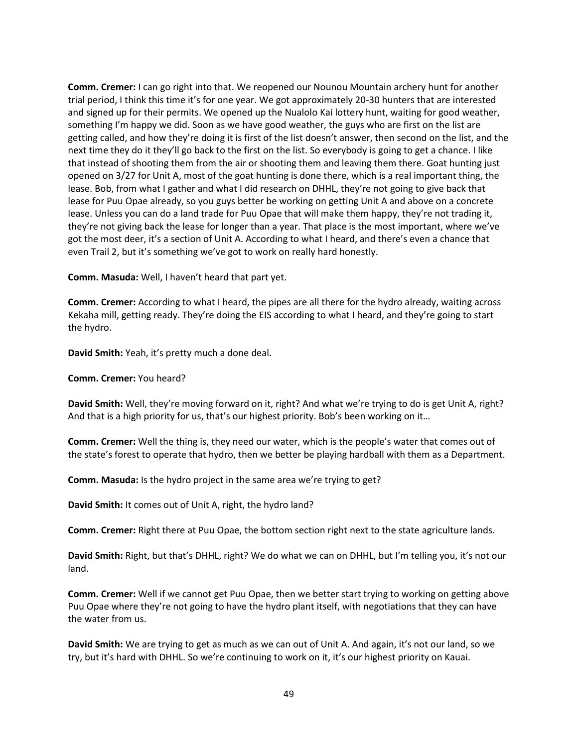**Comm. Cremer:** I can go right into that. We reopened our Nounou Mountain archery hunt for another trial period, I think this time it's for one year. We got approximately 20-30 hunters that are interested and signed up for their permits. We opened up the Nualolo Kai lottery hunt, waiting for good weather, something I'm happy we did. Soon as we have good weather, the guys who are first on the list are getting called, and how they're doing it is first of the list doesn't answer, then second on the list, and the next time they do it they'll go back to the first on the list. So everybody is going to get a chance. I like that instead of shooting them from the air or shooting them and leaving them there. Goat hunting just opened on 3/27 for Unit A, most of the goat hunting is done there, which is a real important thing, the lease. Bob, from what I gather and what I did research on DHHL, they're not going to give back that lease for Puu Opae already, so you guys better be working on getting Unit A and above on a concrete lease. Unless you can do a land trade for Puu Opae that will make them happy, they're not trading it, they're not giving back the lease for longer than a year. That place is the most important, where we've got the most deer, it's a section of Unit A. According to what I heard, and there's even a chance that even Trail 2, but it's something we've got to work on really hard honestly.

**Comm. Masuda:** Well, I haven't heard that part yet.

**Comm. Cremer:** According to what I heard, the pipes are all there for the hydro already, waiting across Kekaha mill, getting ready. They're doing the EIS according to what I heard, and they're going to start the hydro.

**David Smith:** Yeah, it's pretty much a done deal.

**Comm. Cremer:** You heard?

**David Smith:** Well, they're moving forward on it, right? And what we're trying to do is get Unit A, right? And that is a high priority for us, that's our highest priority. Bob's been working on it…

**Comm. Cremer:** Well the thing is, they need our water, which is the people's water that comes out of the state's forest to operate that hydro, then we better be playing hardball with them as a Department.

**Comm. Masuda:** Is the hydro project in the same area we're trying to get?

**David Smith:** It comes out of Unit A, right, the hydro land?

**Comm. Cremer:** Right there at Puu Opae, the bottom section right next to the state agriculture lands.

**David Smith:** Right, but that's DHHL, right? We do what we can on DHHL, but I'm telling you, it's not our land.

**Comm. Cremer:** Well if we cannot get Puu Opae, then we better start trying to working on getting above Puu Opae where they're not going to have the hydro plant itself, with negotiations that they can have the water from us.

**David Smith:** We are trying to get as much as we can out of Unit A. And again, it's not our land, so we try, but it's hard with DHHL. So we're continuing to work on it, it's our highest priority on Kauai.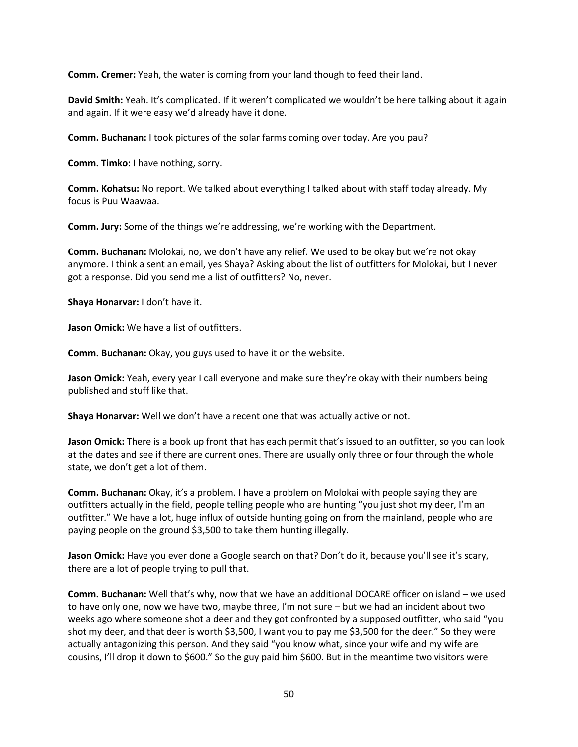**Comm. Cremer:** Yeah, the water is coming from your land though to feed their land.

**David Smith:** Yeah. It's complicated. If it weren't complicated we wouldn't be here talking about it again and again. If it were easy we'd already have it done.

**Comm. Buchanan:** I took pictures of the solar farms coming over today. Are you pau?

**Comm. Timko:** I have nothing, sorry.

**Comm. Kohatsu:** No report. We talked about everything I talked about with staff today already. My focus is Puu Waawaa.

**Comm. Jury:** Some of the things we're addressing, we're working with the Department.

**Comm. Buchanan:** Molokai, no, we don't have any relief. We used to be okay but we're not okay anymore. I think a sent an email, yes Shaya? Asking about the list of outfitters for Molokai, but I never got a response. Did you send me a list of outfitters? No, never.

**Shaya Honarvar:** I don't have it.

**Jason Omick:** We have a list of outfitters.

**Comm. Buchanan:** Okay, you guys used to have it on the website.

**Jason Omick:** Yeah, every year I call everyone and make sure they're okay with their numbers being published and stuff like that.

**Shaya Honarvar:** Well we don't have a recent one that was actually active or not.

**Jason Omick:** There is a book up front that has each permit that's issued to an outfitter, so you can look at the dates and see if there are current ones. There are usually only three or four through the whole state, we don't get a lot of them.

**Comm. Buchanan:** Okay, it's a problem. I have a problem on Molokai with people saying they are outfitters actually in the field, people telling people who are hunting "you just shot my deer, I'm an outfitter." We have a lot, huge influx of outside hunting going on from the mainland, people who are paying people on the ground \$3,500 to take them hunting illegally.

Jason Omick: Have you ever done a Google search on that? Don't do it, because you'll see it's scary, there are a lot of people trying to pull that.

**Comm. Buchanan:** Well that's why, now that we have an additional DOCARE officer on island – we used to have only one, now we have two, maybe three, I'm not sure – but we had an incident about two weeks ago where someone shot a deer and they got confronted by a supposed outfitter, who said "you shot my deer, and that deer is worth \$3,500, I want you to pay me \$3,500 for the deer." So they were actually antagonizing this person. And they said "you know what, since your wife and my wife are cousins, I'll drop it down to \$600." So the guy paid him \$600. But in the meantime two visitors were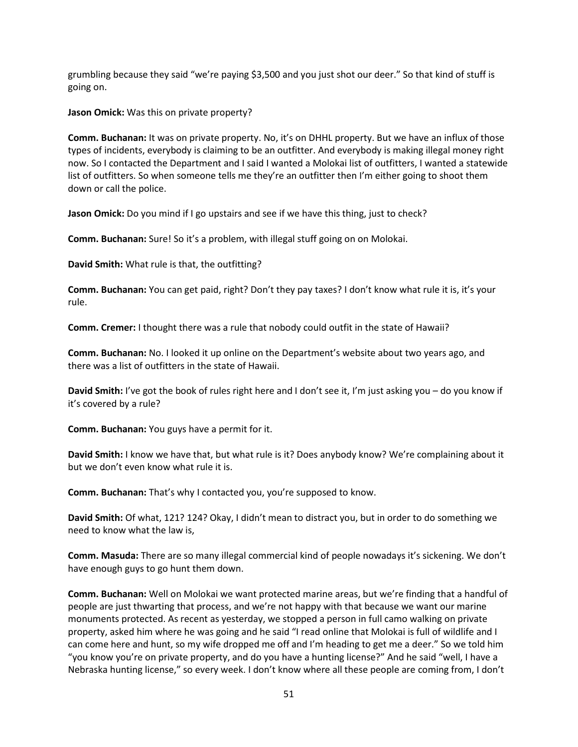grumbling because they said "we're paying \$3,500 and you just shot our deer." So that kind of stuff is going on.

**Jason Omick:** Was this on private property?

**Comm. Buchanan:** It was on private property. No, it's on DHHL property. But we have an influx of those types of incidents, everybody is claiming to be an outfitter. And everybody is making illegal money right now. So I contacted the Department and I said I wanted a Molokai list of outfitters, I wanted a statewide list of outfitters. So when someone tells me they're an outfitter then I'm either going to shoot them down or call the police.

**Jason Omick:** Do you mind if I go upstairs and see if we have this thing, just to check?

**Comm. Buchanan:** Sure! So it's a problem, with illegal stuff going on on Molokai.

**David Smith:** What rule is that, the outfitting?

**Comm. Buchanan:** You can get paid, right? Don't they pay taxes? I don't know what rule it is, it's your rule.

**Comm. Cremer:** I thought there was a rule that nobody could outfit in the state of Hawaii?

**Comm. Buchanan:** No. I looked it up online on the Department's website about two years ago, and there was a list of outfitters in the state of Hawaii.

**David Smith:** I've got the book of rules right here and I don't see it, I'm just asking you – do you know if it's covered by a rule?

**Comm. Buchanan:** You guys have a permit for it.

**David Smith:** I know we have that, but what rule is it? Does anybody know? We're complaining about it but we don't even know what rule it is.

**Comm. Buchanan:** That's why I contacted you, you're supposed to know.

**David Smith:** Of what, 121? 124? Okay, I didn't mean to distract you, but in order to do something we need to know what the law is,

**Comm. Masuda:** There are so many illegal commercial kind of people nowadays it's sickening. We don't have enough guys to go hunt them down.

**Comm. Buchanan:** Well on Molokai we want protected marine areas, but we're finding that a handful of people are just thwarting that process, and we're not happy with that because we want our marine monuments protected. As recent as yesterday, we stopped a person in full camo walking on private property, asked him where he was going and he said "I read online that Molokai is full of wildlife and I can come here and hunt, so my wife dropped me off and I'm heading to get me a deer." So we told him "you know you're on private property, and do you have a hunting license?" And he said "well, I have a Nebraska hunting license," so every week. I don't know where all these people are coming from, I don't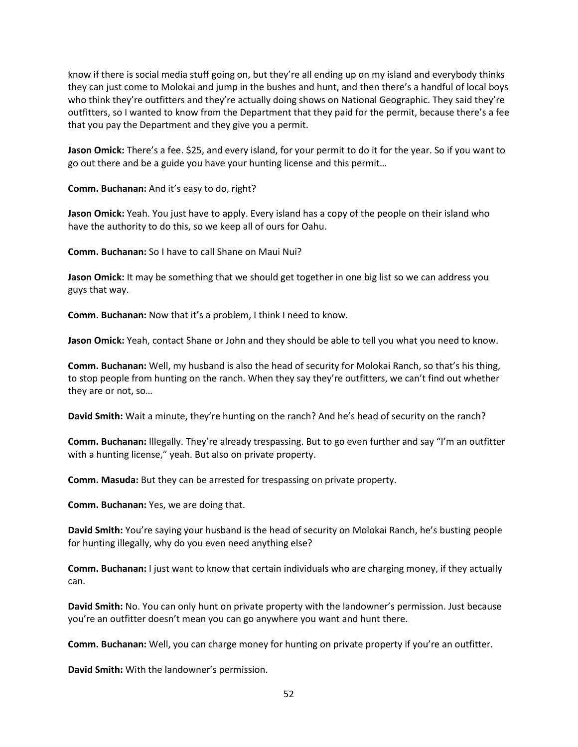know if there is social media stuff going on, but they're all ending up on my island and everybody thinks they can just come to Molokai and jump in the bushes and hunt, and then there's a handful of local boys who think they're outfitters and they're actually doing shows on National Geographic. They said they're outfitters, so I wanted to know from the Department that they paid for the permit, because there's a fee that you pay the Department and they give you a permit.

**Jason Omick:** There's a fee. \$25, and every island, for your permit to do it for the year. So if you want to go out there and be a guide you have your hunting license and this permit…

**Comm. Buchanan:** And it's easy to do, right?

**Jason Omick:** Yeah. You just have to apply. Every island has a copy of the people on their island who have the authority to do this, so we keep all of ours for Oahu.

**Comm. Buchanan:** So I have to call Shane on Maui Nui?

**Jason Omick:** It may be something that we should get together in one big list so we can address you guys that way.

**Comm. Buchanan:** Now that it's a problem, I think I need to know.

**Jason Omick:** Yeah, contact Shane or John and they should be able to tell you what you need to know.

**Comm. Buchanan:** Well, my husband is also the head of security for Molokai Ranch, so that's his thing, to stop people from hunting on the ranch. When they say they're outfitters, we can't find out whether they are or not, so…

**David Smith:** Wait a minute, they're hunting on the ranch? And he's head of security on the ranch?

**Comm. Buchanan:** Illegally. They're already trespassing. But to go even further and say "I'm an outfitter with a hunting license," yeah. But also on private property.

**Comm. Masuda:** But they can be arrested for trespassing on private property.

**Comm. Buchanan:** Yes, we are doing that.

**David Smith:** You're saying your husband is the head of security on Molokai Ranch, he's busting people for hunting illegally, why do you even need anything else?

**Comm. Buchanan:** I just want to know that certain individuals who are charging money, if they actually can.

**David Smith:** No. You can only hunt on private property with the landowner's permission. Just because you're an outfitter doesn't mean you can go anywhere you want and hunt there.

**Comm. Buchanan:** Well, you can charge money for hunting on private property if you're an outfitter.

**David Smith:** With the landowner's permission.